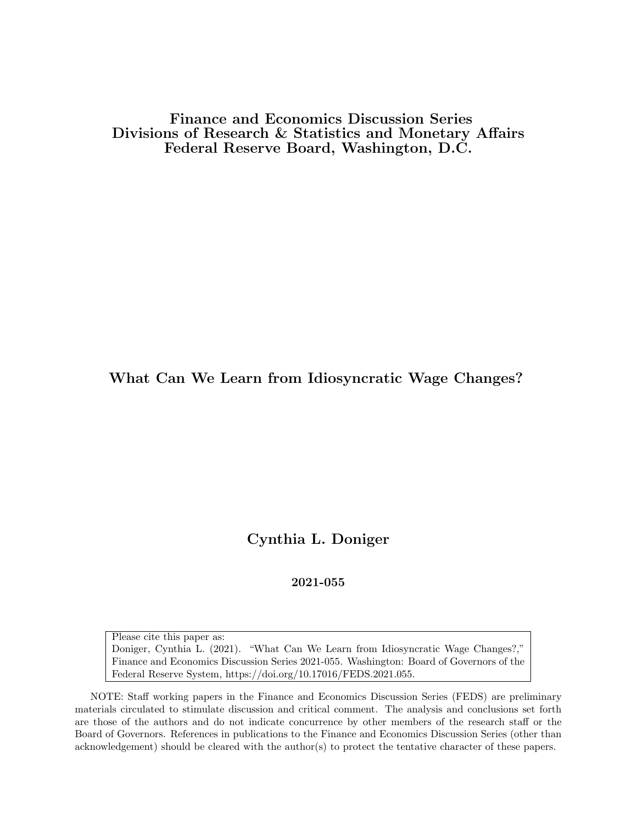Finance and Economics Discussion Series Divisions of Research & Statistics and Monetary Affairs Federal Reserve Board, Washington, D.C.

What Can We Learn from Idiosyncratic Wage Changes?

Cynthia L. Doniger

2021-055

Please cite this paper as: Doniger, Cynthia L. (2021). "What Can We Learn from Idiosyncratic Wage Changes?," Finance and Economics Discussion Series 2021-055. Washington: Board of Governors of the Federal Reserve System, https://doi.org/10.17016/FEDS.2021.055.

NOTE: Staff working papers in the Finance and Economics Discussion Series (FEDS) are preliminary materials circulated to stimulate discussion and critical comment. The analysis and conclusions set forth are those of the authors and do not indicate concurrence by other members of the research staff or the Board of Governors. References in publications to the Finance and Economics Discussion Series (other than acknowledgement) should be cleared with the author(s) to protect the tentative character of these papers.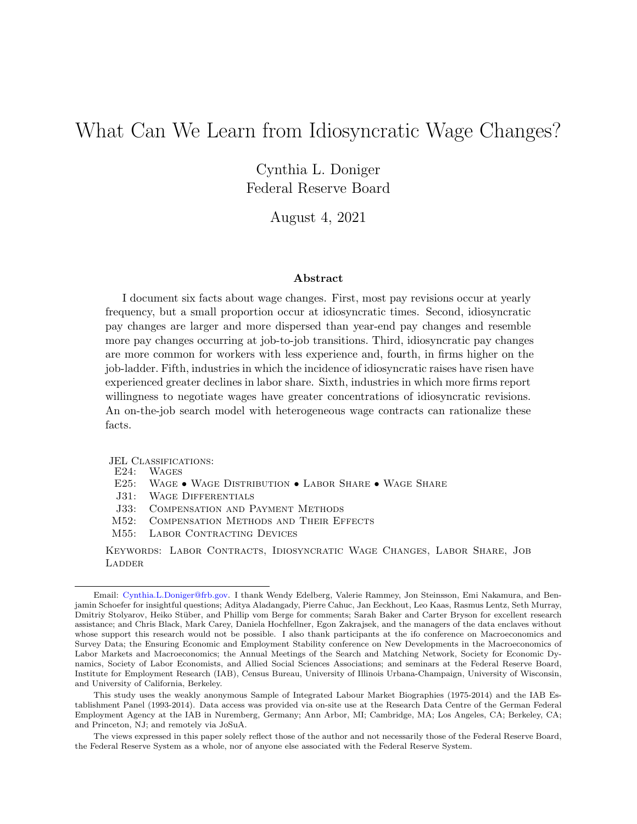# What Can We Learn from Idiosyncratic Wage Changes?

Cynthia L. Doniger Federal Reserve Board

August 4, 2021

#### Abstract

I document six facts about wage changes. First, most pay revisions occur at yearly frequency, but a small proportion occur at idiosyncratic times. Second, idiosyncratic pay changes are larger and more dispersed than year-end pay changes and resemble more pay changes occurring at job-to-job transitions. Third, idiosyncratic pay changes are more common for workers with less experience and, fourth, in firms higher on the job-ladder. Fifth, industries in which the incidence of idiosyncratic raises have risen have experienced greater declines in labor share. Sixth, industries in which more firms report willingness to negotiate wages have greater concentrations of idiosyncratic revisions. An on-the-job search model with heterogeneous wage contracts can rationalize these facts.

JEL CLASSIFICATIONS:<br>E24: WAGES

**WAGES** 

- E25: Wage Wage Distribution Labor Share Wage Share
- J31: Wage Differentials
- J33: Compensation and Payment Methods
- M52: Compensation Methods and Their Effects
- M55: LABOR CONTRACTING DEVICES

Keywords: Labor Contracts, Idiosyncratic Wage Changes, Labor Share, Job **LADDER** 

Email: [Cynthia.L.Doniger@frb.gov.](mailto:Cynthia.L.Doniger@frb.gov) I thank Wendy Edelberg, Valerie Rammey, Jon Steinsson, Emi Nakamura, and Benjamin Schoefer for insightful questions; Aditya Aladangady, Pierre Cahuc, Jan Eeckhout, Leo Kaas, Rasmus Lentz, Seth Murray, Dmitriy Stolyarov, Heiko Stüber, and Phillip vom Berge for comments; Sarah Baker and Carter Bryson for excellent research assistance; and Chris Black, Mark Carey, Daniela Hochfellner, Egon Zakrajsek, and the managers of the data enclaves without whose support this research would not be possible. I also thank participants at the ifo conference on Macroeconomics and Survey Data; the Ensuring Economic and Employment Stability conference on New Developments in the Macroeconomics of Labor Markets and Macroeconomics; the Annual Meetings of the Search and Matching Network, Society for Economic Dynamics, Society of Labor Economists, and Allied Social Sciences Associations; and seminars at the Federal Reserve Board, Institute for Employment Research (IAB), Census Bureau, University of Illinois Urbana-Champaign, University of Wisconsin, and University of California, Berkeley.

This study uses the weakly anonymous Sample of Integrated Labour Market Biographies (1975-2014) and the IAB Establishment Panel (1993-2014). Data access was provided via on-site use at the Research Data Centre of the German Federal Employment Agency at the IAB in Nuremberg, Germany; Ann Arbor, MI; Cambridge, MA; Los Angeles, CA; Berkeley, CA; and Princeton, NJ; and remotely via JoSuA.

The views expressed in this paper solely reflect those of the author and not necessarily those of the Federal Reserve Board, the Federal Reserve System as a whole, nor of anyone else associated with the Federal Reserve System.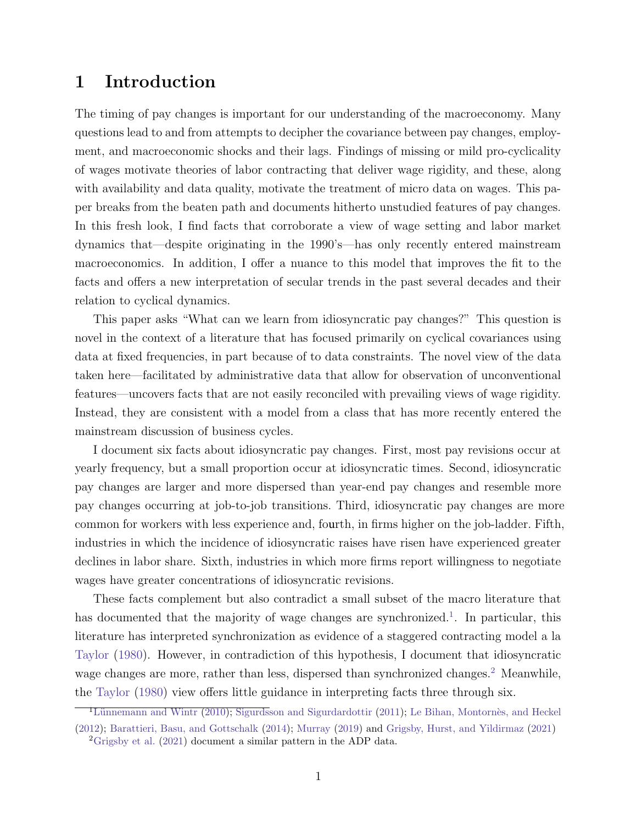## 1 Introduction

The timing of pay changes is important for our understanding of the macroeconomy. Many questions lead to and from attempts to decipher the covariance between pay changes, employment, and macroeconomic shocks and their lags. Findings of missing or mild pro-cyclicality of wages motivate theories of labor contracting that deliver wage rigidity, and these, along with availability and data quality, motivate the treatment of micro data on wages. This paper breaks from the beaten path and documents hitherto unstudied features of pay changes. In this fresh look, I find facts that corroborate a view of wage setting and labor market dynamics that—despite originating in the 1990's—has only recently entered mainstream macroeconomics. In addition, I offer a nuance to this model that improves the fit to the facts and offers a new interpretation of secular trends in the past several decades and their relation to cyclical dynamics.

This paper asks "What can we learn from idiosyncratic pay changes?" This question is novel in the context of a literature that has focused primarily on cyclical covariances using data at fixed frequencies, in part because of to data constraints. The novel view of the data taken here—facilitated by administrative data that allow for observation of unconventional features—uncovers facts that are not easily reconciled with prevailing views of wage rigidity. Instead, they are consistent with a model from a class that has more recently entered the mainstream discussion of business cycles.

I document six facts about idiosyncratic pay changes. First, most pay revisions occur at yearly frequency, but a small proportion occur at idiosyncratic times. Second, idiosyncratic pay changes are larger and more dispersed than year-end pay changes and resemble more pay changes occurring at job-to-job transitions. Third, idiosyncratic pay changes are more common for workers with less experience and, fourth, in firms higher on the job-ladder. Fifth, industries in which the incidence of idiosyncratic raises have risen have experienced greater declines in labor share. Sixth, industries in which more firms report willingness to negotiate wages have greater concentrations of idiosyncratic revisions.

These facts complement but also contradict a small subset of the macro literature that has documented that the majority of wage changes are synchronized[.](#page-2-0)<sup>1</sup>. In particular, this literature has interpreted synchronization as evidence of a staggered contracting model a la [Taylor](#page-26-0) [\(1980\).](#page-26-0) However, in contradiction of this hypothesis, I document that idiosyncratic wage changes are more, rather than less, dispersed than synchronized changes.<sup>[2](#page-2-1)</sup> Meanwhile, the [Taylor](#page-26-0) [\(1980\)](#page-26-0) view offers little guidance in interpreting facts three through six.

<span id="page-2-0"></span> $^{-1}$ Lünnemann and Wintr [\(2010\);](#page-25-0) Sigurdsson and [Sigurdardottir](#page-26-1) [\(2011\);](#page-26-1) Le Bihan, Montornès, and Heckel [\(2012\)](#page-25-1); Barattieri, Basu, and [Gottschalk](#page-24-0) [\(2014\)](#page-24-0); [Murray](#page-26-2) [\(2019\)](#page-26-2) and Grigsby, Hurst, and [Yildirmaz](#page-25-2) [\(2021\)](#page-25-2)

<span id="page-2-1"></span><sup>&</sup>lt;sup>2</sup>[Grigsby et al.](#page-25-2) [\(2021\)](#page-25-2) document a similar pattern in the ADP data.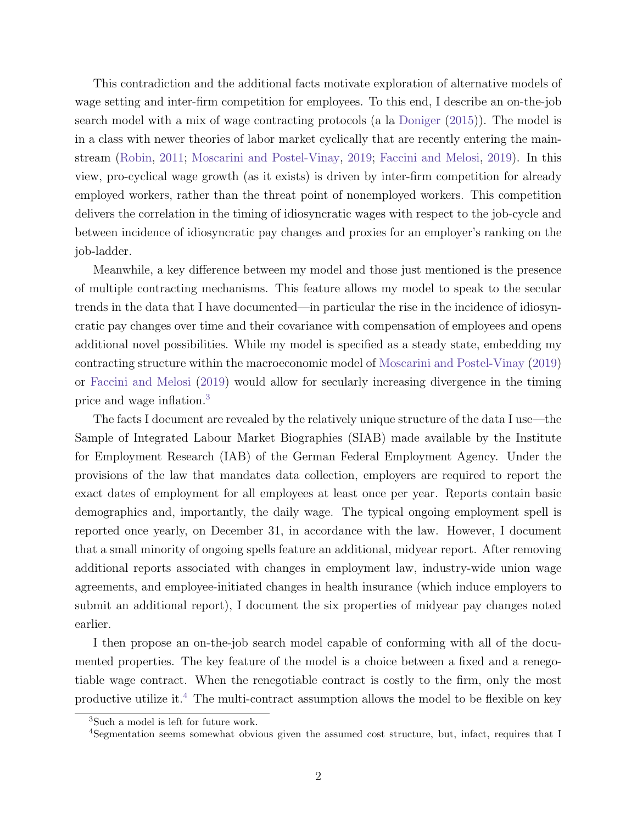This contradiction and the additional facts motivate exploration of alternative models of wage setting and inter-firm competition for employees. To this end, I describe an on-the-job search model with a mix of wage contracting protocols (a la [Doniger](#page-24-1) [\(2015\)](#page-24-1)). The model is in a class with newer theories of labor market cyclically that are recently entering the mainstream [\(Robin,](#page-26-3) [2011;](#page-26-3) [Moscarini and Postel-Vinay,](#page-26-4) [2019;](#page-26-4) [Faccini and Melosi,](#page-25-3) [2019\)](#page-25-3). In this view, pro-cyclical wage growth (as it exists) is driven by inter-firm competition for already employed workers, rather than the threat point of nonemployed workers. This competition delivers the correlation in the timing of idiosyncratic wages with respect to the job-cycle and between incidence of idiosyncratic pay changes and proxies for an employer's ranking on the job-ladder.

Meanwhile, a key difference between my model and those just mentioned is the presence of multiple contracting mechanisms. This feature allows my model to speak to the secular trends in the data that I have documented—in particular the rise in the incidence of idiosyncratic pay changes over time and their covariance with compensation of employees and opens additional novel possibilities. While my model is specified as a steady state, embedding my contracting structure within the macroeconomic model of [Moscarini and Postel-Vinay](#page-26-4) [\(2019\)](#page-26-4) or [Faccini and Melosi](#page-25-3) [\(2019\)](#page-25-3) would allow for secularly increasing divergence in the timing price and wage inflation.[3](#page-3-0)

The facts I document are revealed by the relatively unique structure of the data I use—the Sample of Integrated Labour Market Biographies (SIAB) made available by the Institute for Employment Research (IAB) of the German Federal Employment Agency. Under the provisions of the law that mandates data collection, employers are required to report the exact dates of employment for all employees at least once per year. Reports contain basic demographics and, importantly, the daily wage. The typical ongoing employment spell is reported once yearly, on December 31, in accordance with the law. However, I document that a small minority of ongoing spells feature an additional, midyear report. After removing additional reports associated with changes in employment law, industry-wide union wage agreements, and employee-initiated changes in health insurance (which induce employers to submit an additional report), I document the six properties of midyear pay changes noted earlier.

I then propose an on-the-job search model capable of conforming with all of the documented properties. The key feature of the model is a choice between a fixed and a renegotiable wage contract. When the renegotiable contract is costly to the firm, only the most productive utilize it.<sup>[4](#page-3-1)</sup> The multi-contract assumption allows the model to be flexible on key

<span id="page-3-0"></span><sup>3</sup>Such a model is left for future work.

<span id="page-3-1"></span><sup>&</sup>lt;sup>4</sup>Segmentation seems somewhat obvious given the assumed cost structure, but, infact, requires that I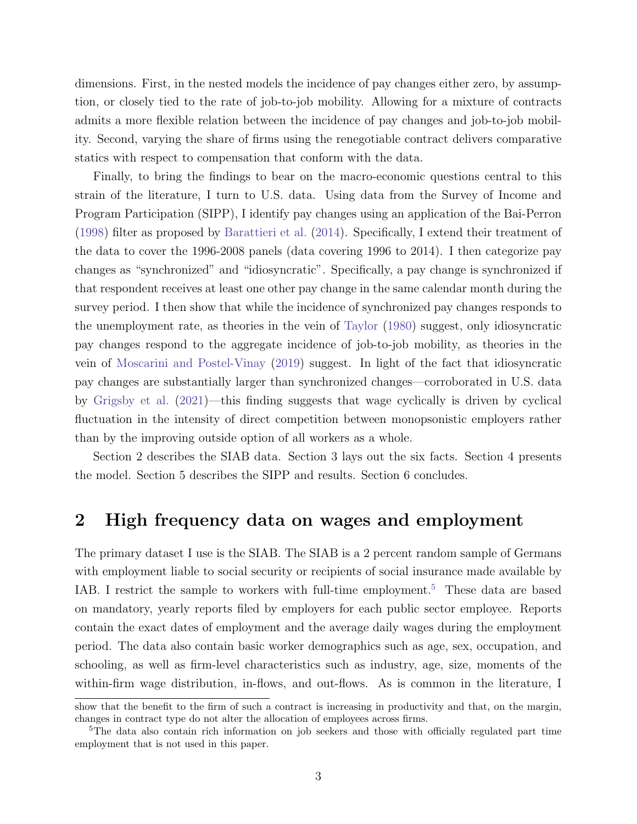dimensions. First, in the nested models the incidence of pay changes either zero, by assumption, or closely tied to the rate of job-to-job mobility. Allowing for a mixture of contracts admits a more flexible relation between the incidence of pay changes and job-to-job mobility. Second, varying the share of firms using the renegotiable contract delivers comparative statics with respect to compensation that conform with the data.

Finally, to bring the findings to bear on the macro-economic questions central to this strain of the literature, I turn to U.S. data. Using data from the Survey of Income and Program Participation (SIPP), I identify pay changes using an application of the Bai-Perron [\(1998\)](#page-24-2) filter as proposed by [Barattieri et al.](#page-24-0) [\(2014\)](#page-24-0). Specifically, I extend their treatment of the data to cover the 1996-2008 panels (data covering 1996 to 2014). I then categorize pay changes as "synchronized" and "idiosyncratic". Specifically, a pay change is synchronized if that respondent receives at least one other pay change in the same calendar month during the survey period. I then show that while the incidence of synchronized pay changes responds to the unemployment rate, as theories in the vein of [Taylor](#page-26-0) [\(1980\)](#page-26-0) suggest, only idiosyncratic pay changes respond to the aggregate incidence of job-to-job mobility, as theories in the vein of [Moscarini and Postel-Vinay](#page-26-4) [\(2019\)](#page-26-4) suggest. In light of the fact that idiosyncratic pay changes are substantially larger than synchronized changes—corroborated in U.S. data by [Grigsby et al.](#page-25-2) [\(2021\)](#page-25-2)—this finding suggests that wage cyclically is driven by cyclical fluctuation in the intensity of direct competition between monopsonistic employers rather than by the improving outside option of all workers as a whole.

Section 2 describes the SIAB data. Section 3 lays out the six facts. Section 4 presents the model. Section 5 describes the SIPP and results. Section 6 concludes.

### 2 High frequency data on wages and employment

The primary dataset I use is the SIAB. The SIAB is a 2 percent random sample of Germans with employment liable to social security or recipients of social insurance made available by IAB. I restrict the sample to workers with full-time employment.<sup>[5](#page-4-0)</sup> These data are based on mandatory, yearly reports filed by employers for each public sector employee. Reports contain the exact dates of employment and the average daily wages during the employment period. The data also contain basic worker demographics such as age, sex, occupation, and schooling, as well as firm-level characteristics such as industry, age, size, moments of the within-firm wage distribution, in-flows, and out-flows. As is common in the literature, I

show that the benefit to the firm of such a contract is increasing in productivity and that, on the margin, changes in contract type do not alter the allocation of employees across firms.

<span id="page-4-0"></span><sup>&</sup>lt;sup>5</sup>The data also contain rich information on job seekers and those with officially regulated part time employment that is not used in this paper.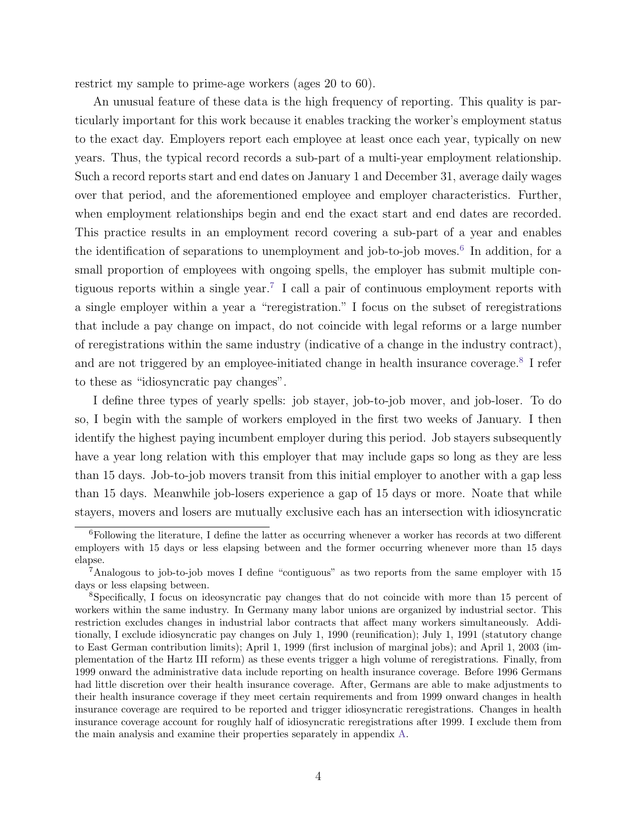restrict my sample to prime-age workers (ages 20 to 60).

An unusual feature of these data is the high frequency of reporting. This quality is particularly important for this work because it enables tracking the worker's employment status to the exact day. Employers report each employee at least once each year, typically on new years. Thus, the typical record records a sub-part of a multi-year employment relationship. Such a record reports start and end dates on January 1 and December 31, average daily wages over that period, and the aforementioned employee and employer characteristics. Further, when employment relationships begin and end the exact start and end dates are recorded. This practice results in an employment record covering a sub-part of a year and enables the identification of separations to unemployment and job-to-job moves.<sup>[6](#page-5-0)</sup> In addition, for a small proportion of employees with ongoing spells, the employer has submit multiple contiguous reports within a single year.[7](#page-5-1) I call a pair of continuous employment reports with a single employer within a year a "reregistration." I focus on the subset of reregistrations that include a pay change on impact, do not coincide with legal reforms or a large number of reregistrations within the same industry (indicative of a change in the industry contract), and are not triggered by an employee-initiated change in health insurance coverage.<sup>[8](#page-5-2)</sup> I refer to these as "idiosyncratic pay changes".

I define three types of yearly spells: job stayer, job-to-job mover, and job-loser. To do so, I begin with the sample of workers employed in the first two weeks of January. I then identify the highest paying incumbent employer during this period. Job stayers subsequently have a year long relation with this employer that may include gaps so long as they are less than 15 days. Job-to-job movers transit from this initial employer to another with a gap less than 15 days. Meanwhile job-losers experience a gap of 15 days or more. Noate that while stayers, movers and losers are mutually exclusive each has an intersection with idiosyncratic

<span id="page-5-0"></span> $6$ Following the literature, I define the latter as occurring whenever a worker has records at two different employers with 15 days or less elapsing between and the former occurring whenever more than 15 days elapse.

<span id="page-5-1"></span><sup>7</sup>Analogous to job-to-job moves I define "contiguous" as two reports from the same employer with 15 days or less elapsing between.

<span id="page-5-2"></span><sup>8</sup>Specifically, I focus on ideosyncratic pay changes that do not coincide with more than 15 percent of workers within the same industry. In Germany many labor unions are organized by industrial sector. This restriction excludes changes in industrial labor contracts that affect many workers simultaneously. Additionally, I exclude idiosyncratic pay changes on July 1, 1990 (reunification); July 1, 1991 (statutory change to East German contribution limits); April 1, 1999 (first inclusion of marginal jobs); and April 1, 2003 (implementation of the Hartz III reform) as these events trigger a high volume of reregistrations. Finally, from 1999 onward the administrative data include reporting on health insurance coverage. Before 1996 Germans had little discretion over their health insurance coverage. After, Germans are able to make adjustments to their health insurance coverage if they meet certain requirements and from 1999 onward changes in health insurance coverage are required to be reported and trigger idiosyncratic reregistrations. Changes in health insurance coverage account for roughly half of idiosyncratic reregistrations after 1999. I exclude them from the main analysis and examine their properties separately in appendix [A.](#page-27-0)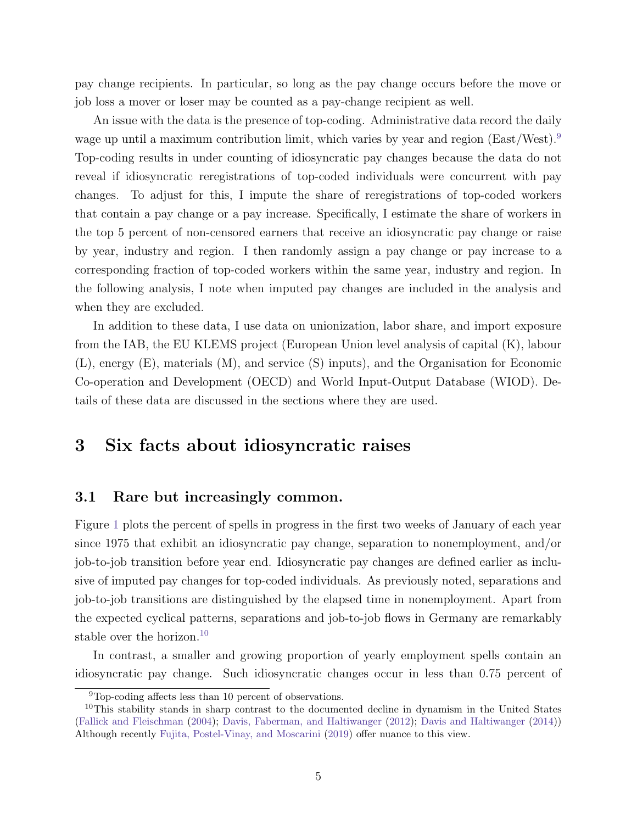pay change recipients. In particular, so long as the pay change occurs before the move or job loss a mover or loser may be counted as a pay-change recipient as well.

An issue with the data is the presence of top-coding. Administrative data record the daily wage up until a maximum contribution limit, which varies by year and region (East/West).<sup>[9](#page-6-0)</sup> Top-coding results in under counting of idiosyncratic pay changes because the data do not reveal if idiosyncratic reregistrations of top-coded individuals were concurrent with pay changes. To adjust for this, I impute the share of reregistrations of top-coded workers that contain a pay change or a pay increase. Specifically, I estimate the share of workers in the top 5 percent of non-censored earners that receive an idiosyncratic pay change or raise by year, industry and region. I then randomly assign a pay change or pay increase to a corresponding fraction of top-coded workers within the same year, industry and region. In the following analysis, I note when imputed pay changes are included in the analysis and when they are excluded.

In addition to these data, I use data on unionization, labor share, and import exposure from the IAB, the EU KLEMS project (European Union level analysis of capital (K), labour (L), energy (E), materials (M), and service (S) inputs), and the Organisation for Economic Co-operation and Development (OECD) and World Input-Output Database (WIOD). Details of these data are discussed in the sections where they are used.

## <span id="page-6-2"></span>3 Six facts about idiosyncratic raises

#### 3.1 Rare but increasingly common.

Figure [1](#page-7-0) plots the percent of spells in progress in the first two weeks of January of each year since 1975 that exhibit an idiosyncratic pay change, separation to nonemployment, and/or job-to-job transition before year end. Idiosyncratic pay changes are defined earlier as inclusive of imputed pay changes for top-coded individuals. As previously noted, separations and job-to-job transitions are distinguished by the elapsed time in nonemployment. Apart from the expected cyclical patterns, separations and job-to-job flows in Germany are remarkably stable over the horizon.<sup>[10](#page-6-1)</sup>

In contrast, a smaller and growing proportion of yearly employment spells contain an idiosyncratic pay change. Such idiosyncratic changes occur in less than 0.75 percent of

<span id="page-6-1"></span><span id="page-6-0"></span><sup>9</sup>Top-coding affects less than 10 percent of observations.

 $10$ This stability stands in sharp contrast to the documented decline in dynamism in the United States [\(Fallick and Fleischman](#page-25-4) [\(2004\)](#page-25-4); [Davis, Faberman, and Haltiwanger](#page-24-3) [\(2012\)](#page-24-3); [Davis and Haltiwanger](#page-24-4) [\(2014\)](#page-24-4)) Although recently [Fujita, Postel-Vinay, and Moscarini](#page-25-5) [\(2019\)](#page-25-5) offer nuance to this view.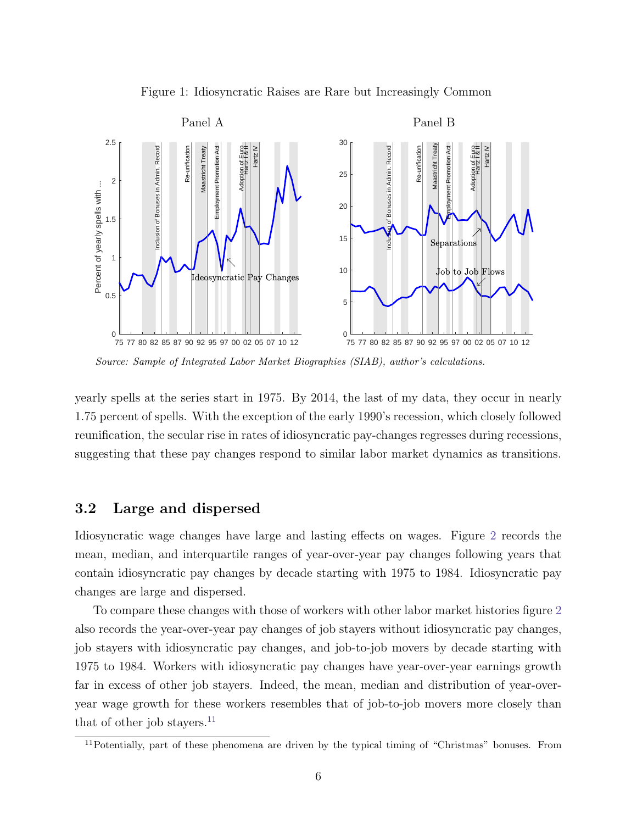<span id="page-7-0"></span>



Source: Sample of Integrated Labor Market Biographies (SIAB), author's calculations.

yearly spells at the series start in 1975. By 2014, the last of my data, they occur in nearly 1.75 percent of spells. With the exception of the early 1990's recession, which closely followed reunification, the secular rise in rates of idiosyncratic pay-changes regresses during recessions, suggesting that these pay changes respond to similar labor market dynamics as transitions.

#### <span id="page-7-2"></span>3.2 Large and dispersed

Idiosyncratic wage changes have large and lasting effects on wages. Figure [2](#page-8-0) records the mean, median, and interquartile ranges of year-over-year pay changes following years that contain idiosyncratic pay changes by decade starting with 1975 to 1984. Idiosyncratic pay changes are large and dispersed.

To compare these changes with those of workers with other labor market histories figure [2](#page-8-0) also records the year-over-year pay changes of job stayers without idiosyncratic pay changes, job stayers with idiosyncratic pay changes, and job-to-job movers by decade starting with 1975 to 1984. Workers with idiosyncratic pay changes have year-over-year earnings growth far in excess of other job stayers. Indeed, the mean, median and distribution of year-overyear wage growth for these workers resembles that of job-to-job movers more closely than that of other job stayers. $^{11}$  $^{11}$  $^{11}$ 

<span id="page-7-1"></span><sup>&</sup>lt;sup>11</sup>Potentially, part of these phenomena are driven by the typical timing of "Christmas" bonuses. From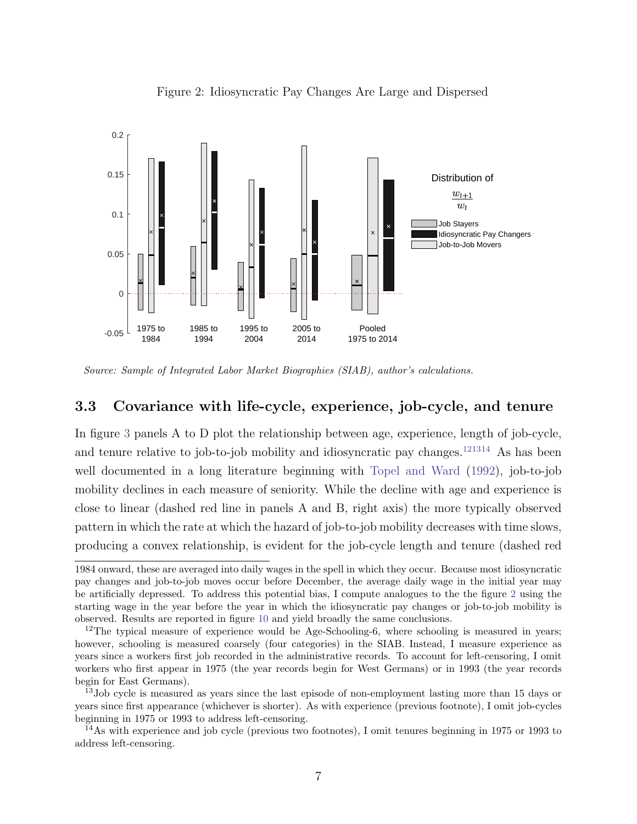

<span id="page-8-0"></span>Figure 2: Idiosyncratic Pay Changes Are Large and Dispersed

Source: Sample of Integrated Labor Market Biographies (SIAB), author's calculations.

#### <span id="page-8-4"></span>3.3 Covariance with life-cycle, experience, job-cycle, and tenure

In figure [3](#page-9-0) panels A to D plot the relationship between age, experience, length of job-cycle, and tenure relative to job-to-job mobility and idiosyncratic pay changes.<sup>[12](#page-8-1)[13](#page-8-2)[14](#page-8-3)</sup> As has been well documented in a long literature beginning with [Topel and Ward](#page-26-5) [\(1992\)](#page-26-5), job-to-job mobility declines in each measure of seniority. While the decline with age and experience is close to linear (dashed red line in panels A and B, right axis) the more typically observed pattern in which the rate at which the hazard of job-to-job mobility decreases with time slows, producing a convex relationship, is evident for the job-cycle length and tenure (dashed red

<sup>1984</sup> onward, these are averaged into daily wages in the spell in which they occur. Because most idiosyncratic pay changes and job-to-job moves occur before December, the average daily wage in the initial year may be artificially depressed. To address this potential bias, I compute analogues to the the figure [2](#page-8-0) using the starting wage in the year before the year in which the idiosyncratic pay changes or job-to-job mobility is observed. Results are reported in figure [10](#page-31-0) and yield broadly the same conclusions.

<span id="page-8-1"></span><sup>&</sup>lt;sup>12</sup>The typical measure of experience would be Age-Schooling-6, where schooling is measured in years; however, schooling is measured coarsely (four categories) in the SIAB. Instead, I measure experience as years since a workers first job recorded in the administrative records. To account for left-censoring, I omit workers who first appear in 1975 (the year records begin for West Germans) or in 1993 (the year records begin for East Germans).

<span id="page-8-2"></span><sup>&</sup>lt;sup>13</sup>Job cycle is measured as years since the last episode of non-employment lasting more than 15 days or years since first appearance (whichever is shorter). As with experience (previous footnote), I omit job-cycles beginning in 1975 or 1993 to address left-censoring.

<span id="page-8-3"></span><sup>&</sup>lt;sup>14</sup>As with experience and job cycle (previous two footnotes), I omit tenures beginning in 1975 or 1993 to address left-censoring.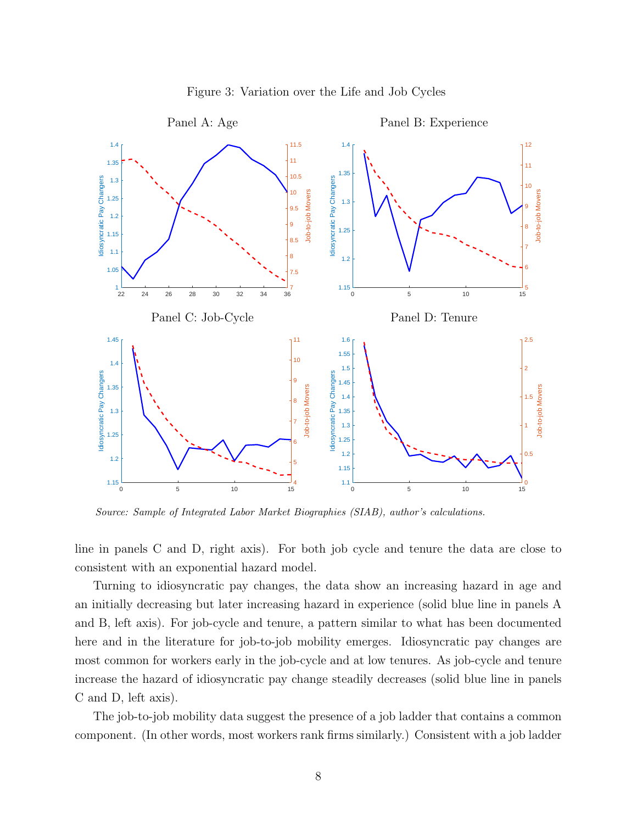

<span id="page-9-0"></span>Figure 3: Variation over the Life and Job Cycles

Source: Sample of Integrated Labor Market Biographies (SIAB), author's calculations.

line in panels C and D, right axis). For both job cycle and tenure the data are close to consistent with an exponential hazard model.

Turning to idiosyncratic pay changes, the data show an increasing hazard in age and an initially decreasing but later increasing hazard in experience (solid blue line in panels A and B, left axis). For job-cycle and tenure, a pattern similar to what has been documented here and in the literature for job-to-job mobility emerges. Idiosyncratic pay changes are most common for workers early in the job-cycle and at low tenures. As job-cycle and tenure increase the hazard of idiosyncratic pay change steadily decreases (solid blue line in panels C and D, left axis).

The job-to-job mobility data suggest the presence of a job ladder that contains a common component. (In other words, most workers rank firms similarly.) Consistent with a job ladder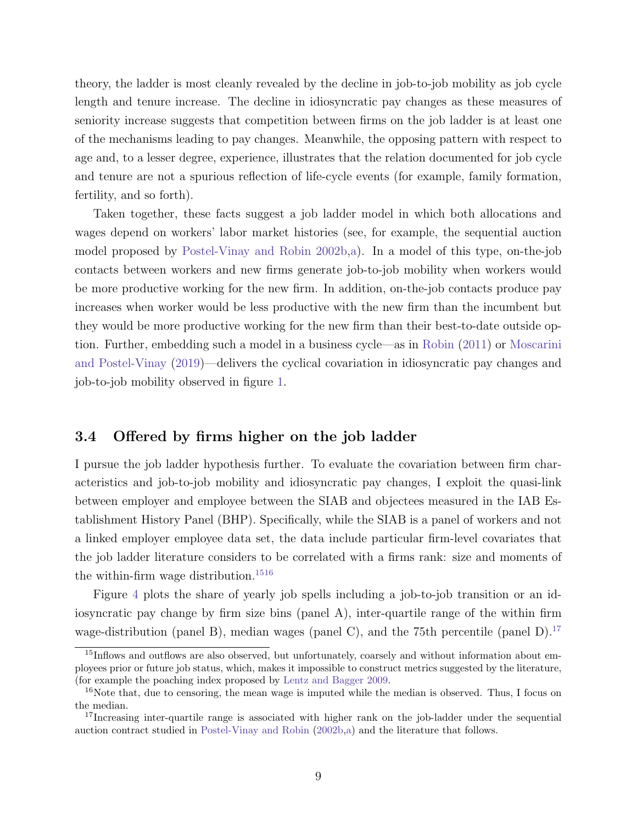theory, the ladder is most cleanly revealed by the decline in job-to-job mobility as job cycle length and tenure increase. The decline in idiosyncratic pay changes as these measures of seniority increase suggests that competition between firms on the job ladder is at least one of the mechanisms leading to pay changes. Meanwhile, the opposing pattern with respect to age and, to a lesser degree, experience, illustrates that the relation documented for job cycle and tenure are not a spurious reflection of life-cycle events (for example, family formation, fertility, and so forth).

Taken together, these facts suggest a job ladder model in which both allocations and wages depend on workers' labor market histories (see, for example, the sequential auction model proposed by [Postel-Vinay and Robin](#page-26-6) [2002b,](#page-26-6)[a\)](#page-26-7). In a model of this type, on-the-job contacts between workers and new firms generate job-to-job mobility when workers would be more productive working for the new firm. In addition, on-the-job contacts produce pay increases when worker would be less productive with the new firm than the incumbent but they would be more productive working for the new firm than their best-to-date outside option. Further, embedding such a model in a business cycle—as in [Robin](#page-26-3) [\(2011\)](#page-26-3) or [Moscarini](#page-26-4) [and Postel-Vinay](#page-26-4) [\(2019\)](#page-26-4)—delivers the cyclical covariation in idiosyncratic pay changes and job-to-job mobility observed in figure [1.](#page-7-0)

#### 3.4 Offered by firms higher on the job ladder

I pursue the job ladder hypothesis further. To evaluate the covariation between firm characteristics and job-to-job mobility and idiosyncratic pay changes, I exploit the quasi-link between employer and employee between the SIAB and objectees measured in the IAB Establishment History Panel (BHP). Specifically, while the SIAB is a panel of workers and not a linked employer employee data set, the data include particular firm-level covariates that the job ladder literature considers to be correlated with a firms rank: size and moments of the within-firm wage distribution.<sup>[15](#page-10-0)[16](#page-10-1)</sup>

Figure [4](#page-11-0) plots the share of yearly job spells including a job-to-job transition or an idiosyncratic pay change by firm size bins (panel A), inter-quartile range of the within firm wage-distribution (panel B), median wages (panel C), and the 75th percentile (panel D).<sup>[17](#page-10-2)</sup>

<span id="page-10-0"></span><sup>&</sup>lt;sup>15</sup>Inflows and outflows are also observed, but unfortunately, coarsely and without information about employees prior or future job status, which, makes it impossible to construct metrics suggested by the literature, (for example the poaching index proposed by [Lentz and Bagger](#page-25-6) [2009.](#page-25-6)

<span id="page-10-1"></span><sup>&</sup>lt;sup>16</sup>Note that, due to censoring, the mean wage is imputed while the median is observed. Thus, I focus on the median.

<span id="page-10-2"></span><sup>&</sup>lt;sup>17</sup>Increasing inter-quartile range is associated with higher rank on the job-ladder under the sequential auction contract studied in [Postel-Vinay and Robin](#page-26-6) [\(2002b,](#page-26-6)[a\)](#page-26-7) and the literature that follows.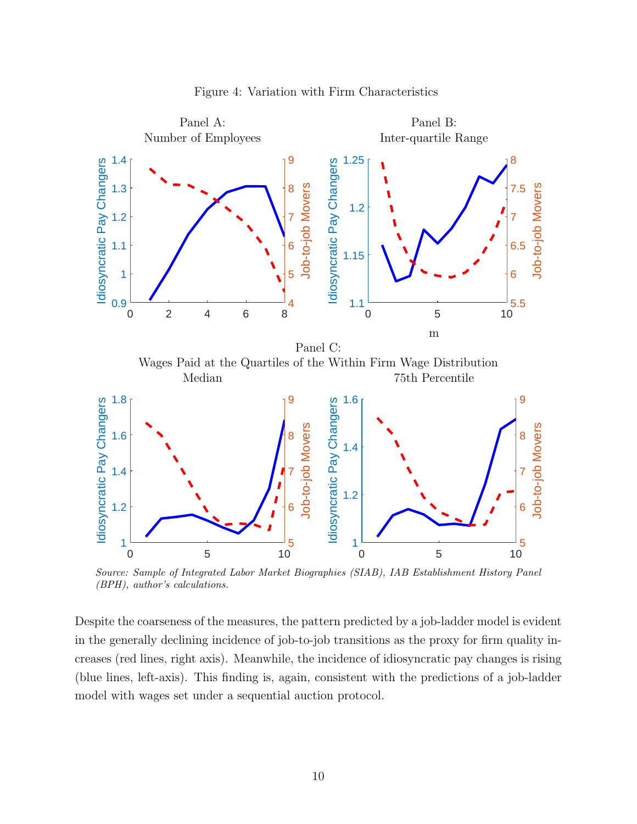

<span id="page-11-0"></span>Figure 4: Variation with Firm Characteristics

Source: Sample of Integrated Labor Market Biographies (SIAB), IAB Establishment History Panel (BPH), author's calculations.

Despite the coarseness of the measures, the pattern predicted by a job-ladder model is evident in the generally declining incidence of job-to-job transitions as the proxy for firm quality increases (red lines, right axis). Meanwhile, the incidence of idiosyncratic pay changes is rising (blue lines, left-axis). This finding is, again, consistent with the predictions of a job-ladder model with wages set under a sequential auction protocol.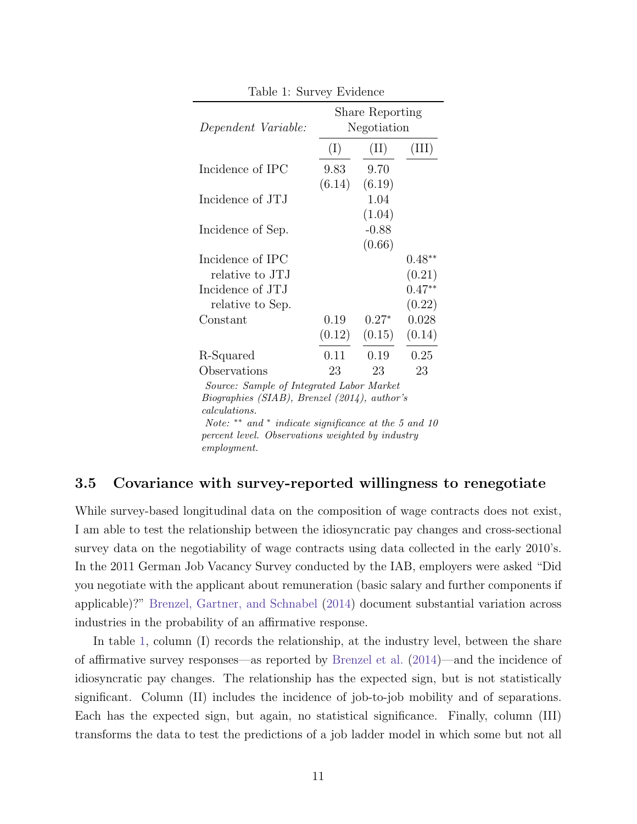| тарле г. эштеу втиенсе                          |                                       |                |          |  |  |  |
|-------------------------------------------------|---------------------------------------|----------------|----------|--|--|--|
| Dependent Variable:                             | <b>Share Reporting</b><br>Negotiation |                |          |  |  |  |
|                                                 | (I)                                   | (II)           | (III)    |  |  |  |
| Incidence of IPC                                | 9.83                                  | 9.70           |          |  |  |  |
|                                                 | (6.14)                                | (6.19)         |          |  |  |  |
| Incidence of JTJ                                |                                       | 1.04<br>(1.04) |          |  |  |  |
| Incidence of Sep.                               |                                       | $-0.88$        |          |  |  |  |
|                                                 |                                       | (0.66)         |          |  |  |  |
| Incidence of IPC                                |                                       |                | $0.48**$ |  |  |  |
| relative to JTJ                                 |                                       |                | (0.21)   |  |  |  |
| Incidence of JTJ                                |                                       |                | $0.47**$ |  |  |  |
| relative to Sep.                                |                                       |                | (0.22)   |  |  |  |
| Constant                                        | 0.19                                  | $0.27*$        | 0.028    |  |  |  |
|                                                 | (0.12)                                | (0.15)         | (0.14)   |  |  |  |
| R-Squared                                       | 0.11                                  | 0.19           | 0.25     |  |  |  |
| Observations                                    | 23                                    | 23             | 23       |  |  |  |
| Source: Sample of Integrated Labor Market       |                                       |                |          |  |  |  |
| $Bioaraphies (SIAB)$ , Brenzel (2014), author's |                                       |                |          |  |  |  |

<span id="page-12-0"></span>Table 1: Survey Evidence

Biographies (SIAB), Brenzel (2014), author's calculations. Note: \*\* and \* indicate significance at the 5 and 10

percent level. Observations weighted by industry employment.

#### 3.5 Covariance with survey-reported willingness to renegotiate

While survey-based longitudinal data on the composition of wage contracts does not exist, I am able to test the relationship between the idiosyncratic pay changes and cross-sectional survey data on the negotiability of wage contracts using data collected in the early 2010's. In the 2011 German Job Vacancy Survey conducted by the IAB, employers were asked "Did you negotiate with the applicant about remuneration (basic salary and further components if applicable)?" [Brenzel, Gartner, and Schnabel](#page-24-5) [\(2014\)](#page-24-5) document substantial variation across industries in the probability of an affirmative response.

In table [1,](#page-12-0) column (I) records the relationship, at the industry level, between the share of affirmative survey responses—as reported by [Brenzel et al.](#page-24-5) [\(2014\)](#page-24-5)—and the incidence of idiosyncratic pay changes. The relationship has the expected sign, but is not statistically significant. Column (II) includes the incidence of job-to-job mobility and of separations. Each has the expected sign, but again, no statistical significance. Finally, column (III) transforms the data to test the predictions of a job ladder model in which some but not all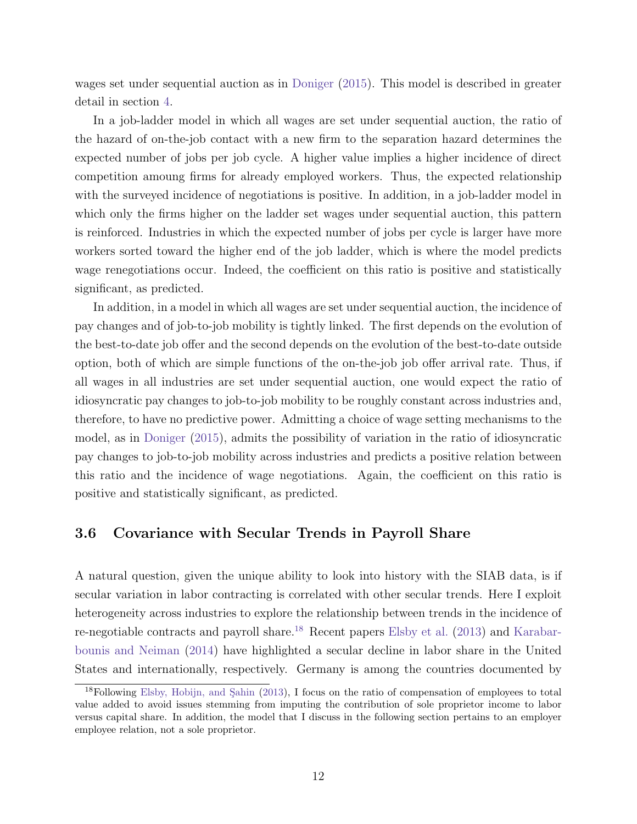wages set under sequential auction as in [Doniger](#page-24-1) [\(2015\)](#page-24-1). This model is described in greater detail in section [4.](#page-16-0)

In a job-ladder model in which all wages are set under sequential auction, the ratio of the hazard of on-the-job contact with a new firm to the separation hazard determines the expected number of jobs per job cycle. A higher value implies a higher incidence of direct competition amoung firms for already employed workers. Thus, the expected relationship with the surveyed incidence of negotiations is positive. In addition, in a job-ladder model in which only the firms higher on the ladder set wages under sequential auction, this pattern is reinforced. Industries in which the expected number of jobs per cycle is larger have more workers sorted toward the higher end of the job ladder, which is where the model predicts wage renegotiations occur. Indeed, the coefficient on this ratio is positive and statistically significant, as predicted.

In addition, in a model in which all wages are set under sequential auction, the incidence of pay changes and of job-to-job mobility is tightly linked. The first depends on the evolution of the best-to-date job offer and the second depends on the evolution of the best-to-date outside option, both of which are simple functions of the on-the-job job offer arrival rate. Thus, if all wages in all industries are set under sequential auction, one would expect the ratio of idiosyncratic pay changes to job-to-job mobility to be roughly constant across industries and, therefore, to have no predictive power. Admitting a choice of wage setting mechanisms to the model, as in [Doniger](#page-24-1) [\(2015\)](#page-24-1), admits the possibility of variation in the ratio of idiosyncratic pay changes to job-to-job mobility across industries and predicts a positive relation between this ratio and the incidence of wage negotiations. Again, the coefficient on this ratio is positive and statistically significant, as predicted.

#### 3.6 Covariance with Secular Trends in Payroll Share

A natural question, given the unique ability to look into history with the SIAB data, is if secular variation in labor contracting is correlated with other secular trends. Here I exploit heterogeneity across industries to explore the relationship between trends in the incidence of re-negotiable contracts and payroll share.[18](#page-13-0) Recent papers [Elsby et al.](#page-25-7) [\(2013\)](#page-25-7) and [Karabar](#page-25-8)[bounis and Neiman](#page-25-8) [\(2014\)](#page-25-8) have highlighted a secular decline in labor share in the United States and internationally, respectively. Germany is among the countries documented by

<span id="page-13-0"></span> $18$ Following Elsby, Hobijn, and Sahin [\(2013\)](#page-25-7), I focus on the ratio of compensation of employees to total value added to avoid issues stemming from imputing the contribution of sole proprietor income to labor versus capital share. In addition, the model that I discuss in the following section pertains to an employer employee relation, not a sole proprietor.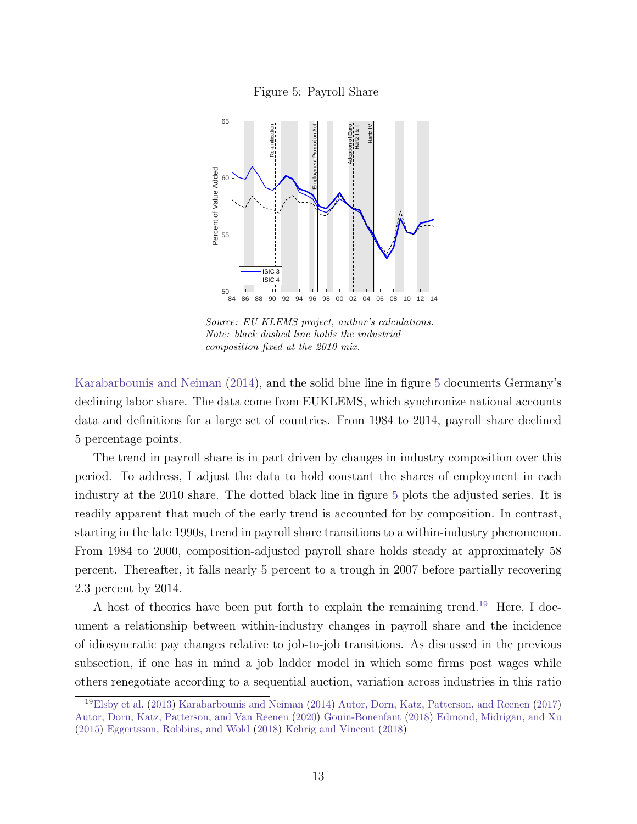<span id="page-14-0"></span>Figure 5: Payroll Share



Source: EU KLEMS project, author's calculations. Note: black dashed line holds the industrial composition fixed at the 2010 mix.

[Karabarbounis and Neiman](#page-25-8) [\(2014\)](#page-25-8), and the solid blue line in figure [5](#page-14-0) documents Germany's declining labor share. The data come from EUKLEMS, which synchronize national accounts data and definitions for a large set of countries. From 1984 to 2014, payroll share declined 5 percentage points.

The trend in payroll share is in part driven by changes in industry composition over this period. To address, I adjust the data to hold constant the shares of employment in each industry at the 2010 share. The dotted black line in figure [5](#page-14-0) plots the adjusted series. It is readily apparent that much of the early trend is accounted for by composition. In contrast, starting in the late 1990s, trend in payroll share transitions to a within-industry phenomenon. From 1984 to 2000, composition-adjusted payroll share holds steady at approximately 58 percent. Thereafter, it falls nearly 5 percent to a trough in 2007 before partially recovering 2.3 percent by 2014.

A host of theories have been put forth to explain the remaining trend.<sup>[19](#page-14-1)</sup> Here, I document a relationship between within-industry changes in payroll share and the incidence of idiosyncratic pay changes relative to job-to-job transitions. As discussed in the previous subsection, if one has in mind a job ladder model in which some firms post wages while others renegotiate according to a sequential auction, variation across industries in this ratio

<span id="page-14-1"></span><sup>19</sup>[Elsby et al.](#page-25-7) [\(2013\)](#page-25-7) [Karabarbounis and Neiman](#page-25-8) [\(2014\)](#page-25-8) [Autor, Dorn, Katz, Patterson, and Reenen](#page-24-6) [\(2017\)](#page-24-6) [Autor, Dorn, Katz, Patterson, and Van Reenen](#page-24-7) [\(2020\)](#page-24-7) [Gouin-Bonenfant](#page-25-9) [\(2018\)](#page-25-9) [Edmond, Midrigan, and Xu](#page-25-10) [\(2015\)](#page-25-10) [Eggertsson, Robbins, and Wold](#page-25-11) [\(2018\)](#page-25-11) [Kehrig and Vincent](#page-25-12) [\(2018\)](#page-25-12)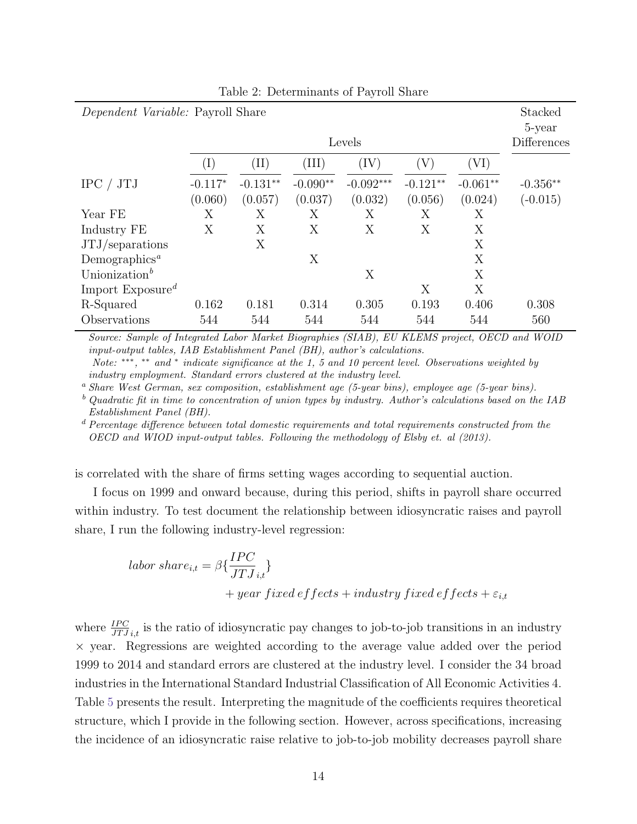| <i>Dependent Variable:</i> Payroll Share  |                |                 |            |             |            |              | Stacked<br>5-year |
|-------------------------------------------|----------------|-----------------|------------|-------------|------------|--------------|-------------------|
|                                           | Levels         |                 |            |             |            |              |                   |
|                                           | $(\mathrm{I})$ | $(\mathrm{II})$ | (III)      | (IV)        | Y)         | $({\rm VI})$ |                   |
| IPC / JTJ                                 | $-0.117*$      | $-0.131**$      | $-0.090**$ | $-0.092***$ | $-0.121**$ | $-0.061**$   | $-0.356**$        |
|                                           | (0.060)        | (0.057)         | (0.037)    | (0.032)     | (0.056)    | (0.024)      | $(-0.015)$        |
| Year FE                                   | Х              | Х               | Х          | Х           | Х          | Х            |                   |
| Industry FE                               | Χ              | Х               | Х          | Х           | Х          | Х            |                   |
| $JTJ$ /separations                        |                | X               |            |             |            | X            |                   |
| Demographics <sup><math>a</math></sup>    |                |                 | X          |             |            | X            |                   |
| Unionization <sup>b</sup>                 |                |                 |            | X           |            | X            |                   |
| Import Exposure <sup><math>d</math></sup> |                |                 |            |             | Х          | X            |                   |
| R-Squared                                 | 0.162          | 0.181           | 0.314      | 0.305       | 0.193      | 0.406        | 0.308             |
| Observations                              | 544            | 544             | 544        | 544         | 544        | 544          | 560               |

Table 2: Determinants of Payroll Share

Source: Sample of Integrated Labor Market Biographies (SIAB), EU KLEMS project, OECD and WOID input-output tables, IAB Establishment Panel (BH), author's calculations. Note: \*\*\*, \*\* and \* indicate significance at the 1, 5 and 10 percent level. Observations weighted by

industry employment. Standard errors clustered at the industry level.

<sup>a</sup> Share West German, sex composition, establishment age (5-year bins), employee age (5-year bins).

 $^b$  Quadratic fit in time to concentration of union types by industry. Author's calculations based on the IAB Establishment Panel (BH).

 $d$  Percentage difference between total domestic requirements and total requirements constructed from the OECD and WIOD input-output tables. Following the methodology of Elsby et. al (2013).

is correlated with the share of firms setting wages according to sequential auction.

I focus on 1999 and onward because, during this period, shifts in payroll share occurred within industry. To test document the relationship between idiosyncratic raises and payroll share, I run the following industry-level regression:

labor share<sub>i,t</sub> = 
$$
\beta \{ \frac{IPC}{JTJ_{i,t}} \}
$$
  
+ year fixed effects + industry fixed effects +  $\varepsilon_{i,t}$ 

where  $\frac{IPC}{JTJ_{i,t}}$  is the ratio of idiosyncratic pay changes to job-to-job transitions in an industry  $\times$  year. Regressions are weighted according to the average value added over the period 1999 to 2014 and standard errors are clustered at the industry level. I consider the 34 broad industries in the International Standard Industrial Classification of All Economic Activities 4. Table [5](#page-14-0) presents the result. Interpreting the magnitude of the coefficients requires theoretical structure, which I provide in the following section. However, across specifications, increasing the incidence of an idiosyncratic raise relative to job-to-job mobility decreases payroll share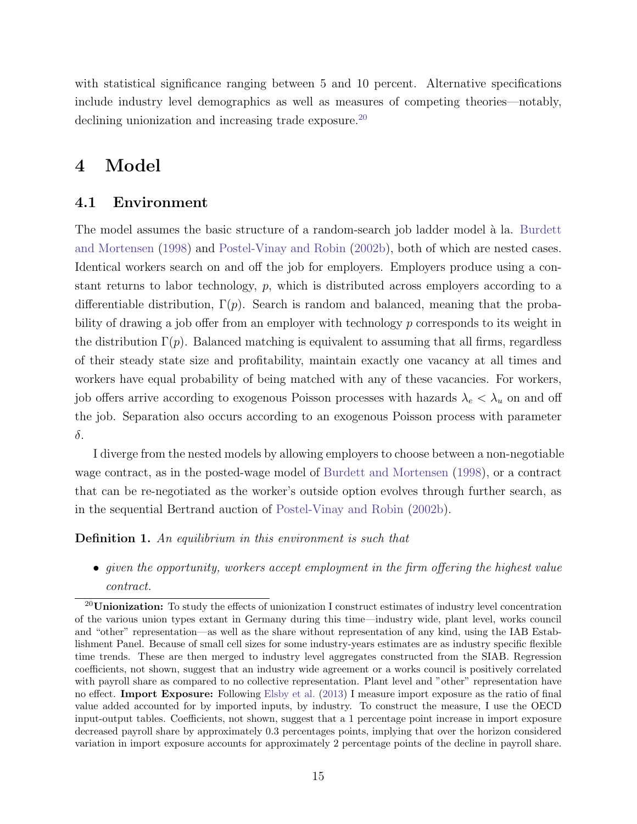with statistical significance ranging between 5 and 10 percent. Alternative specifications include industry level demographics as well as measures of competing theories—notably, declining unionization and increasing trade exposure.<sup>[20](#page-16-1)</sup>

## <span id="page-16-0"></span>4 Model

#### 4.1 Environment

The model assumes the basic structure of a random-search job ladder model à la. [Burdett](#page-24-8) [and Mortensen](#page-24-8) [\(1998\)](#page-24-8) and [Postel-Vinay and Robin](#page-26-6) [\(2002b\)](#page-26-6), both of which are nested cases. Identical workers search on and off the job for employers. Employers produce using a constant returns to labor technology, p, which is distributed across employers according to a differentiable distribution,  $\Gamma(p)$ . Search is random and balanced, meaning that the probability of drawing a job offer from an employer with technology p corresponds to its weight in the distribution  $\Gamma(p)$ . Balanced matching is equivalent to assuming that all firms, regardless of their steady state size and profitability, maintain exactly one vacancy at all times and workers have equal probability of being matched with any of these vacancies. For workers, job offers arrive according to exogenous Poisson processes with hazards  $\lambda_e < \lambda_u$  on and off the job. Separation also occurs according to an exogenous Poisson process with parameter δ.

I diverge from the nested models by allowing employers to choose between a non-negotiable wage contract, as in the posted-wage model of [Burdett and Mortensen](#page-24-8) [\(1998\)](#page-24-8), or a contract that can be re-negotiated as the worker's outside option evolves through further search, as in the sequential Bertrand auction of [Postel-Vinay and Robin](#page-26-6) [\(2002b\)](#page-26-6).

Definition 1. An equilibrium in this environment is such that

• given the opportunity, workers accept employment in the firm offering the highest value contract.

<span id="page-16-1"></span> $^{20}$ Unionization: To study the effects of unionization I construct estimates of industry level concentration of the various union types extant in Germany during this time—industry wide, plant level, works council and "other" representation—as well as the share without representation of any kind, using the IAB Establishment Panel. Because of small cell sizes for some industry-years estimates are as industry specific flexible time trends. These are then merged to industry level aggregates constructed from the SIAB. Regression coefficients, not shown, suggest that an industry wide agreement or a works council is positively correlated with payroll share as compared to no collective representation. Plant level and "other" representation have no effect. Import Exposure: Following [Elsby et al.](#page-25-7) [\(2013\)](#page-25-7) I measure import exposure as the ratio of final value added accounted for by imported inputs, by industry. To construct the measure, I use the OECD input-output tables. Coefficients, not shown, suggest that a 1 percentage point increase in import exposure decreased payroll share by approximately 0.3 percentages points, implying that over the horizon considered variation in import exposure accounts for approximately 2 percentage points of the decline in payroll share.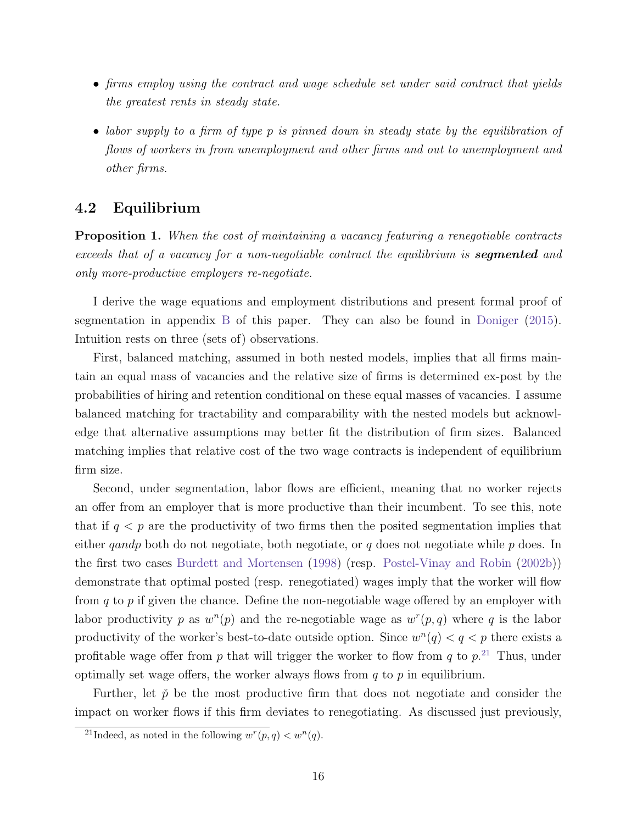- firms employ using the contract and wage schedule set under said contract that yields the greatest rents in steady state.
- labor supply to a firm of type p is pinned down in steady state by the equilibration of flows of workers in from unemployment and other firms and out to unemployment and other firms.

#### 4.2 Equilibrium

Proposition 1. When the cost of maintaining a vacancy featuring a renegotiable contracts exceeds that of a vacancy for a non-negotiable contract the equilibrium is **segmented** and only more-productive employers re-negotiate.

I derive the wage equations and employment distributions and present formal proof of segmentation in appendix [B](#page-32-0) of this paper. They can also be found in [Doniger](#page-24-1) [\(2015\)](#page-24-1). Intuition rests on three (sets of) observations.

First, balanced matching, assumed in both nested models, implies that all firms maintain an equal mass of vacancies and the relative size of firms is determined ex-post by the probabilities of hiring and retention conditional on these equal masses of vacancies. I assume balanced matching for tractability and comparability with the nested models but acknowledge that alternative assumptions may better fit the distribution of firm sizes. Balanced matching implies that relative cost of the two wage contracts is independent of equilibrium firm size.

Second, under segmentation, labor flows are efficient, meaning that no worker rejects an offer from an employer that is more productive than their incumbent. To see this, note that if  $q < p$  are the productivity of two firms then the posited segmentation implies that either *qandp* both do not negotiate, both negotiate, or q does not negotiate while  $p$  does. In the first two cases [Burdett and Mortensen](#page-24-8) [\(1998\)](#page-24-8) (resp. [Postel-Vinay and Robin](#page-26-6) [\(2002b\)](#page-26-6)) demonstrate that optimal posted (resp. renegotiated) wages imply that the worker will flow from q to p if given the chance. Define the non-negotiable wage offered by an employer with labor productivity p as  $w^{n}(p)$  and the re-negotiable wage as  $w^{r}(p,q)$  where q is the labor productivity of the worker's best-to-date outside option. Since  $w^{n}(q) < q < p$  there exists a profitable wage offer from p that will trigger the worker to flow from q to  $p^{21}$  $p^{21}$  $p^{21}$  Thus, under optimally set wage offers, the worker always flows from  $q$  to  $p$  in equilibrium.

Further, let  $\check{p}$  be the most productive firm that does not negotiate and consider the impact on worker flows if this firm deviates to renegotiating. As discussed just previously,

<span id="page-17-0"></span><sup>&</sup>lt;sup>21</sup>Indeed, as noted in the following  $w^r(p,q) < w^n(q)$ .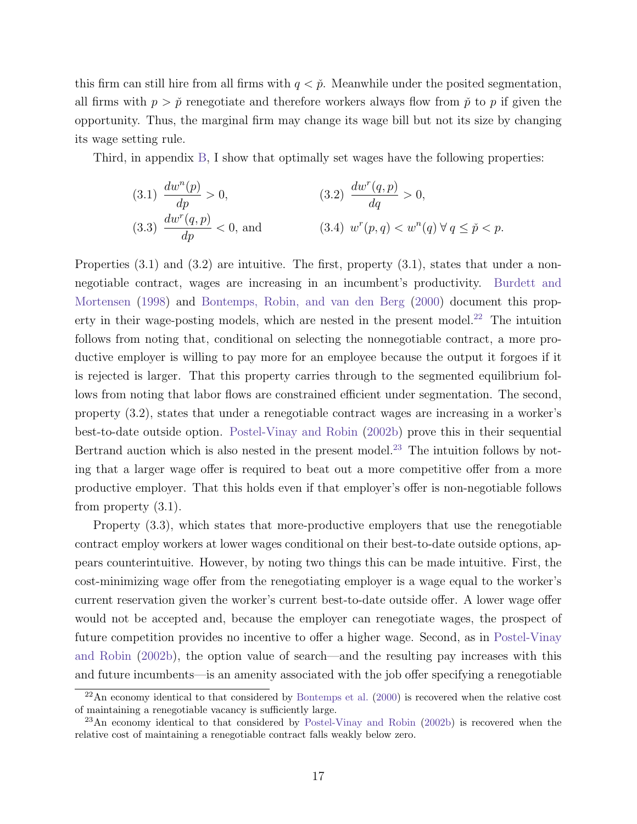this firm can still hire from all firms with  $q < \tilde{p}$ . Meanwhile under the posited segmentation, all firms with  $p > p<sub>p</sub>$  renegotiate and therefore workers always flow from  $\tilde{p}$  to p if given the opportunity. Thus, the marginal firm may change its wage bill but not its size by changing its wage setting rule.

Third, in appendix [B,](#page-32-0) I show that optimally set wages have the following properties:

(3.1) 
$$
\frac{dw^n(p)}{dp} > 0
$$
,   
\n(3.2)  $\frac{dw^r(q, p)}{dq} > 0$ ,   
\n(3.3)  $\frac{dw^r(q, p)}{dp} < 0$ , and   
\n(3.4)  $w^r(p, q) < w^n(q) \forall q \le \tilde{p} < p$ .

Properties  $(3.1)$  and  $(3.2)$  are intuitive. The first, property  $(3.1)$ , states that under a nonnegotiable contract, wages are increasing in an incumbent's productivity. [Burdett and](#page-24-8) [Mortensen](#page-24-8) [\(1998\)](#page-24-8) and [Bontemps, Robin, and van den Berg](#page-24-9) [\(2000\)](#page-24-9) document this prop-erty in their wage-posting models, which are nested in the present model.<sup>[22](#page-18-0)</sup> The intuition follows from noting that, conditional on selecting the nonnegotiable contract, a more productive employer is willing to pay more for an employee because the output it forgoes if it is rejected is larger. That this property carries through to the segmented equilibrium follows from noting that labor flows are constrained efficient under segmentation. The second, property (3.2), states that under a renegotiable contract wages are increasing in a worker's best-to-date outside option. [Postel-Vinay and Robin](#page-26-6) [\(2002b\)](#page-26-6) prove this in their sequential Bertrand auction which is also nested in the present model.<sup>[23](#page-18-1)</sup> The intuition follows by noting that a larger wage offer is required to beat out a more competitive offer from a more productive employer. That this holds even if that employer's offer is non-negotiable follows from property (3.1).

Property (3.3), which states that more-productive employers that use the renegotiable contract employ workers at lower wages conditional on their best-to-date outside options, appears counterintuitive. However, by noting two things this can be made intuitive. First, the cost-minimizing wage offer from the renegotiating employer is a wage equal to the worker's current reservation given the worker's current best-to-date outside offer. A lower wage offer would not be accepted and, because the employer can renegotiate wages, the prospect of future competition provides no incentive to offer a higher wage. Second, as in [Postel-Vinay](#page-26-6) [and Robin](#page-26-6) [\(2002b\)](#page-26-6), the option value of search—and the resulting pay increases with this and future incumbents—is an amenity associated with the job offer specifying a renegotiable

<span id="page-18-0"></span> $22$ An economy identical to that considered by [Bontemps et al.](#page-24-9) [\(2000\)](#page-24-9) is recovered when the relative cost of maintaining a renegotiable vacancy is sufficiently large.

<span id="page-18-1"></span><sup>&</sup>lt;sup>23</sup>An economy identical to that considered by [Postel-Vinay and Robin](#page-26-6) [\(2002b\)](#page-26-6) is recovered when the relative cost of maintaining a renegotiable contract falls weakly below zero.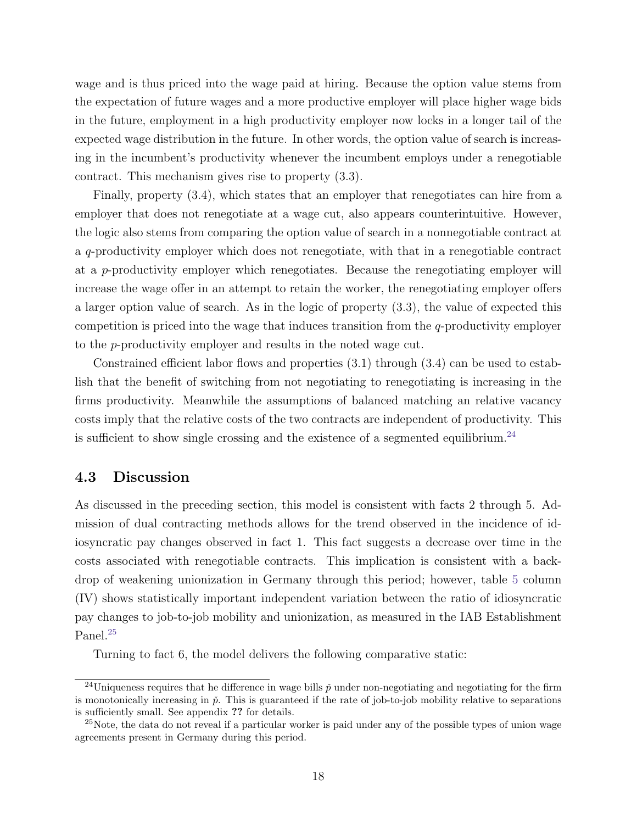wage and is thus priced into the wage paid at hiring. Because the option value stems from the expectation of future wages and a more productive employer will place higher wage bids in the future, employment in a high productivity employer now locks in a longer tail of the expected wage distribution in the future. In other words, the option value of search is increasing in the incumbent's productivity whenever the incumbent employs under a renegotiable contract. This mechanism gives rise to property (3.3).

Finally, property (3.4), which states that an employer that renegotiates can hire from a employer that does not renegotiate at a wage cut, also appears counterintuitive. However, the logic also stems from comparing the option value of search in a nonnegotiable contract at a q-productivity employer which does not renegotiate, with that in a renegotiable contract at a p-productivity employer which renegotiates. Because the renegotiating employer will increase the wage offer in an attempt to retain the worker, the renegotiating employer offers a larger option value of search. As in the logic of property (3.3), the value of expected this competition is priced into the wage that induces transition from the  $q$ -productivity employer to the p-productivity employer and results in the noted wage cut.

Constrained efficient labor flows and properties (3.1) through (3.4) can be used to establish that the benefit of switching from not negotiating to renegotiating is increasing in the firms productivity. Meanwhile the assumptions of balanced matching an relative vacancy costs imply that the relative costs of the two contracts are independent of productivity. This is sufficient to show single crossing and the existence of a segmented equilibrium.<sup>[24](#page-19-0)</sup>

#### 4.3 Discussion

As discussed in the preceding section, this model is consistent with facts 2 through 5. Admission of dual contracting methods allows for the trend observed in the incidence of idiosyncratic pay changes observed in fact 1. This fact suggests a decrease over time in the costs associated with renegotiable contracts. This implication is consistent with a backdrop of weakening unionization in Germany through this period; however, table [5](#page-14-0) column (IV) shows statistically important independent variation between the ratio of idiosyncratic pay changes to job-to-job mobility and unionization, as measured in the IAB Establishment Panel.<sup>[25](#page-19-1)</sup>

Turning to fact 6, the model delivers the following comparative static:

<span id="page-19-0"></span><sup>&</sup>lt;sup>24</sup>Uniqueness requires that he difference in wage bills  $\check{p}$  under non-negotiating and negotiating for the firm is monotonically increasing in  $\check{p}$ . This is guaranteed if the rate of job-to-job mobility relative to separations is sufficiently small. See appendix ?? for details.

<span id="page-19-1"></span><sup>&</sup>lt;sup>25</sup>Note, the data do not reveal if a particular worker is paid under any of the possible types of union wage agreements present in Germany during this period.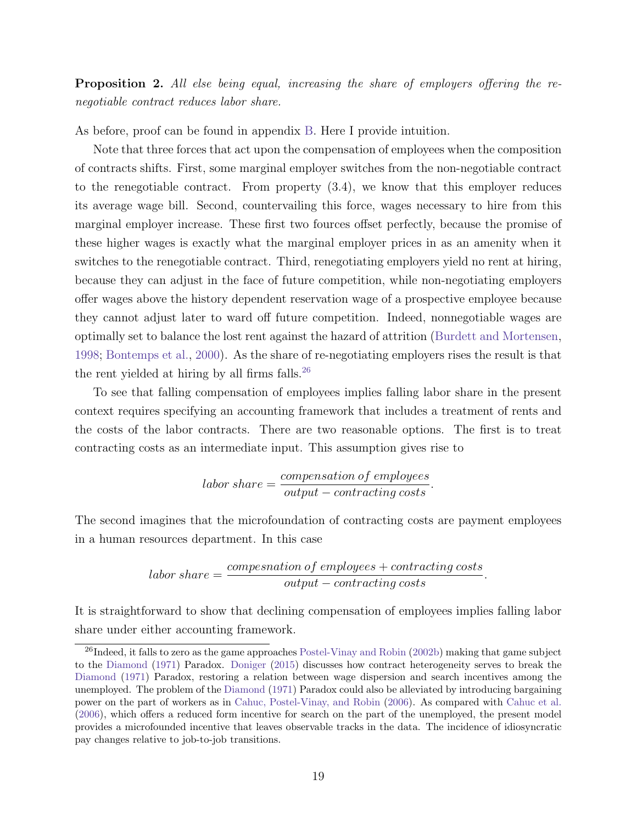Proposition 2. All else being equal, increasing the share of employers offering the renegotiable contract reduces labor share.

As before, proof can be found in appendix [B.](#page-32-0) Here I provide intuition.

Note that three forces that act upon the compensation of employees when the composition of contracts shifts. First, some marginal employer switches from the non-negotiable contract to the renegotiable contract. From property (3.4), we know that this employer reduces its average wage bill. Second, countervailing this force, wages necessary to hire from this marginal employer increase. These first two fources offset perfectly, because the promise of these higher wages is exactly what the marginal employer prices in as an amenity when it switches to the renegotiable contract. Third, renegotiating employers yield no rent at hiring, because they can adjust in the face of future competition, while non-negotiating employers offer wages above the history dependent reservation wage of a prospective employee because they cannot adjust later to ward off future competition. Indeed, nonnegotiable wages are optimally set to balance the lost rent against the hazard of attrition [\(Burdett and Mortensen,](#page-24-8) [1998;](#page-24-8) [Bontemps et al.,](#page-24-9) [2000\)](#page-24-9). As the share of re-negotiating employers rises the result is that the rent yielded at hiring by all firms falls. $^{26}$  $^{26}$  $^{26}$ 

To see that falling compensation of employees implies falling labor share in the present context requires specifying an accounting framework that includes a treatment of rents and the costs of the labor contracts. There are two reasonable options. The first is to treat contracting costs as an intermediate input. This assumption gives rise to

$$
labor\ share = \frac{compensation\ of\ employees}{output - contracting\ costs}.
$$

The second imagines that the microfoundation of contracting costs are payment employees in a human resources department. In this case

$$
labor\ share = \frac{compensation\ of\ employees + contracting\ costs}{output - contracting\ costs}.
$$

It is straightforward to show that declining compensation of employees implies falling labor share under either accounting framework.

<span id="page-20-0"></span> $^{26}$ Indeed, it falls to zero as the game approaches [Postel-Vinay and Robin](#page-26-6) [\(2002b\)](#page-26-6) making that game subject to the [Diamond](#page-24-10) [\(1971\)](#page-24-10) Paradox. [Doniger](#page-24-1) [\(2015\)](#page-24-1) discusses how contract heterogeneity serves to break the [Diamond](#page-24-10) [\(1971\)](#page-24-10) Paradox, restoring a relation between wage dispersion and search incentives among the unemployed. The problem of the [Diamond](#page-24-10) [\(1971\)](#page-24-10) Paradox could also be alleviated by introducing bargaining power on the part of workers as in [Cahuc, Postel-Vinay, and Robin](#page-24-11) [\(2006\)](#page-24-11). As compared with [Cahuc et al.](#page-24-11) [\(2006\)](#page-24-11), which offers a reduced form incentive for search on the part of the unemployed, the present model provides a microfounded incentive that leaves observable tracks in the data. The incidence of idiosyncratic pay changes relative to job-to-job transitions.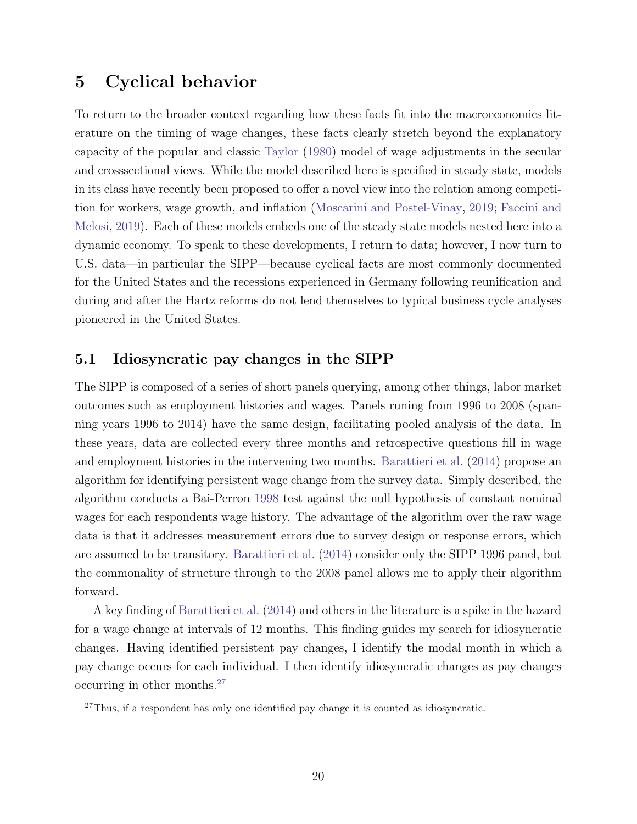## 5 Cyclical behavior

To return to the broader context regarding how these facts fit into the macroeconomics literature on the timing of wage changes, these facts clearly stretch beyond the explanatory capacity of the popular and classic [Taylor](#page-26-0) [\(1980\)](#page-26-0) model of wage adjustments in the secular and crosssectional views. While the model described here is specified in steady state, models in its class have recently been proposed to offer a novel view into the relation among competition for workers, wage growth, and inflation [\(Moscarini and Postel-Vinay,](#page-26-4) [2019;](#page-26-4) [Faccini and](#page-25-3) [Melosi,](#page-25-3) [2019\)](#page-25-3). Each of these models embeds one of the steady state models nested here into a dynamic economy. To speak to these developments, I return to data; however, I now turn to U.S. data—in particular the SIPP—because cyclical facts are most commonly documented for the United States and the recessions experienced in Germany following reunification and during and after the Hartz reforms do not lend themselves to typical business cycle analyses pioneered in the United States.

#### 5.1 Idiosyncratic pay changes in the SIPP

The SIPP is composed of a series of short panels querying, among other things, labor market outcomes such as employment histories and wages. Panels runing from 1996 to 2008 (spanning years 1996 to 2014) have the same design, facilitating pooled analysis of the data. In these years, data are collected every three months and retrospective questions fill in wage and employment histories in the intervening two months. [Barattieri et al.](#page-24-0) [\(2014\)](#page-24-0) propose an algorithm for identifying persistent wage change from the survey data. Simply described, the algorithm conducts a Bai-Perron [1998](#page-24-2) test against the null hypothesis of constant nominal wages for each respondents wage history. The advantage of the algorithm over the raw wage data is that it addresses measurement errors due to survey design or response errors, which are assumed to be transitory. [Barattieri et al.](#page-24-0) [\(2014\)](#page-24-0) consider only the SIPP 1996 panel, but the commonality of structure through to the 2008 panel allows me to apply their algorithm forward.

A key finding of [Barattieri et al.](#page-24-0) [\(2014\)](#page-24-0) and others in the literature is a spike in the hazard for a wage change at intervals of 12 months. This finding guides my search for idiosyncratic changes. Having identified persistent pay changes, I identify the modal month in which a pay change occurs for each individual. I then identify idiosyncratic changes as pay changes occurring in other months.[27](#page-21-0)

<span id="page-21-0"></span> $27$ Thus, if a respondent has only one identified pay change it is counted as idiosyncratic.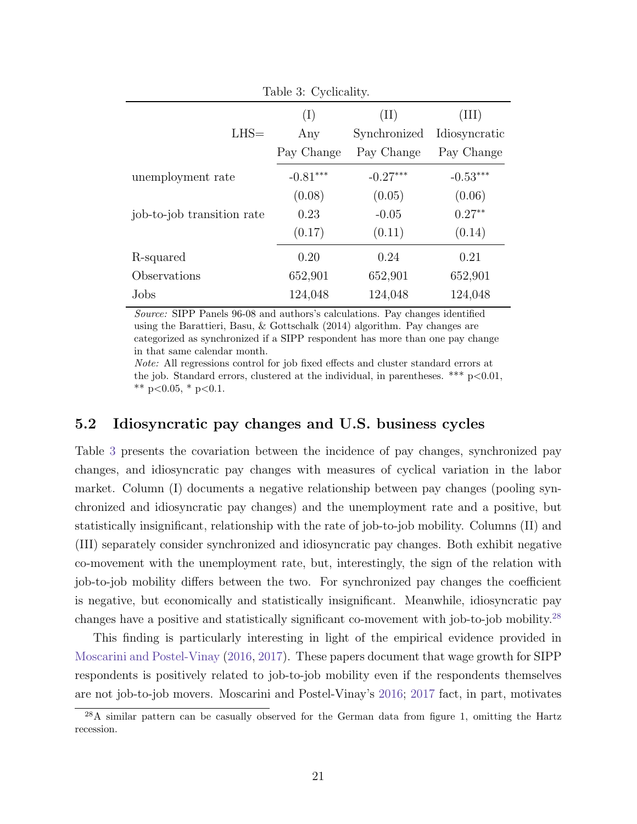<span id="page-22-0"></span>

| Table 3: Cyclicality.      |            |              |               |  |  |  |  |
|----------------------------|------------|--------------|---------------|--|--|--|--|
|                            | (I)        | (II)         | ${\rm(III)}$  |  |  |  |  |
| $LHS =$                    | Any        | Synchronized | Idiosyncratic |  |  |  |  |
|                            | Pay Change | Pay Change   | Pay Change    |  |  |  |  |
| unemployment rate          | $-0.81***$ | $-0.27***$   | $-0.53***$    |  |  |  |  |
|                            | (0.08)     | (0.05)       | (0.06)        |  |  |  |  |
| job-to-job transition rate | 0.23       | $-0.05$      | $0.27**$      |  |  |  |  |
|                            | (0.17)     | (0.11)       | (0.14)        |  |  |  |  |
| R-squared                  | 0.20       | 0.24         | 0.21          |  |  |  |  |
| Observations               | 652,901    | 652,901      | 652,901       |  |  |  |  |
| Jobs                       | 124,048    | 124,048      | 124,048       |  |  |  |  |

Source: SIPP Panels 96-08 and authors's calculations. Pay changes identified using the Barattieri, Basu, & Gottschalk (2014) algorithm. Pay changes are categorized as synchronized if a SIPP respondent has more than one pay change in that same calendar month.

Note: All regressions control for job fixed effects and cluster standard errors at the job. Standard errors, clustered at the individual, in parentheses. \*\*\*  $p<0.01$ , \*\*  $p<0.05$ , \*  $p<0.1$ .

#### 5.2 Idiosyncratic pay changes and U.S. business cycles

Table [3](#page-22-0) presents the covariation between the incidence of pay changes, synchronized pay changes, and idiosyncratic pay changes with measures of cyclical variation in the labor market. Column (I) documents a negative relationship between pay changes (pooling synchronized and idiosyncratic pay changes) and the unemployment rate and a positive, but statistically insignificant, relationship with the rate of job-to-job mobility. Columns (II) and (III) separately consider synchronized and idiosyncratic pay changes. Both exhibit negative co-movement with the unemployment rate, but, interestingly, the sign of the relation with job-to-job mobility differs between the two. For synchronized pay changes the coefficient is negative, but economically and statistically insignificant. Meanwhile, idiosyncratic pay changes have a positive and statistically significant co-movement with job-to-job mobility.[28](#page-22-1)

This finding is particularly interesting in light of the empirical evidence provided in [Moscarini and Postel-Vinay](#page-25-13) [\(2016,](#page-25-13) [2017\)](#page-25-14). These papers document that wage growth for SIPP respondents is positively related to job-to-job mobility even if the respondents themselves are not job-to-job movers. Moscarini and Postel-Vinay's [2016;](#page-25-13) [2017](#page-25-14) fact, in part, motivates

<span id="page-22-1"></span> $^{28}$ A similar pattern can be casually observed for the German data from figure 1, omitting the Hartz recession.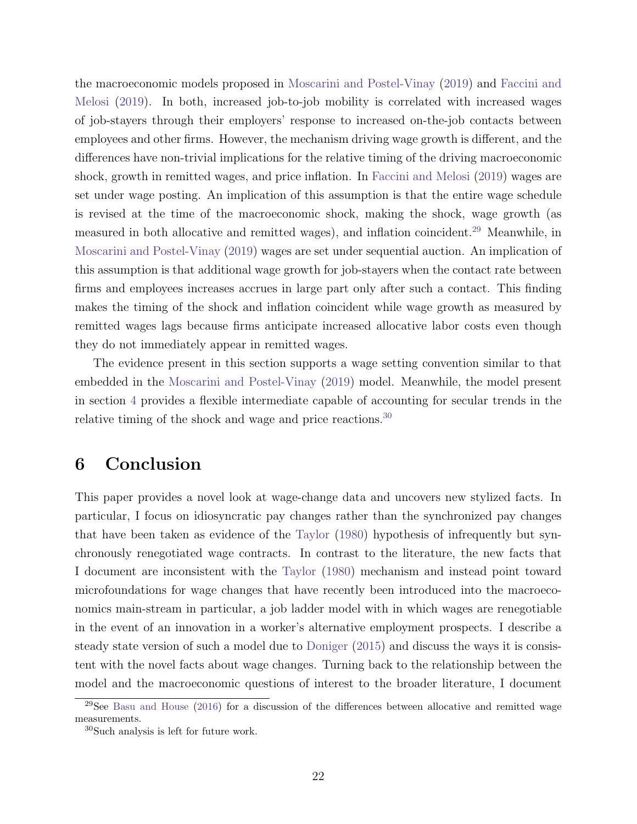the macroeconomic models proposed in [Moscarini and Postel-Vinay](#page-26-4) [\(2019\)](#page-26-4) and [Faccini and](#page-25-3) [Melosi](#page-25-3) [\(2019\)](#page-25-3). In both, increased job-to-job mobility is correlated with increased wages of job-stayers through their employers' response to increased on-the-job contacts between employees and other firms. However, the mechanism driving wage growth is different, and the differences have non-trivial implications for the relative timing of the driving macroeconomic shock, growth in remitted wages, and price inflation. In [Faccini and Melosi](#page-25-3) [\(2019\)](#page-25-3) wages are set under wage posting. An implication of this assumption is that the entire wage schedule is revised at the time of the macroeconomic shock, making the shock, wage growth (as measured in both allocative and remitted wages), and inflation coincident.[29](#page-23-0) Meanwhile, in [Moscarini and Postel-Vinay](#page-26-4) [\(2019\)](#page-26-4) wages are set under sequential auction. An implication of this assumption is that additional wage growth for job-stayers when the contact rate between firms and employees increases accrues in large part only after such a contact. This finding makes the timing of the shock and inflation coincident while wage growth as measured by remitted wages lags because firms anticipate increased allocative labor costs even though they do not immediately appear in remitted wages.

The evidence present in this section supports a wage setting convention similar to that embedded in the [Moscarini and Postel-Vinay](#page-26-4) [\(2019\)](#page-26-4) model. Meanwhile, the model present in section [4](#page-16-0) provides a flexible intermediate capable of accounting for secular trends in the relative timing of the shock and wage and price reactions.<sup>[30](#page-23-1)</sup>

## 6 Conclusion

This paper provides a novel look at wage-change data and uncovers new stylized facts. In particular, I focus on idiosyncratic pay changes rather than the synchronized pay changes that have been taken as evidence of the [Taylor](#page-26-0) [\(1980\)](#page-26-0) hypothesis of infrequently but synchronously renegotiated wage contracts. In contrast to the literature, the new facts that I document are inconsistent with the [Taylor](#page-26-0) [\(1980\)](#page-26-0) mechanism and instead point toward microfoundations for wage changes that have recently been introduced into the macroeconomics main-stream in particular, a job ladder model with in which wages are renegotiable in the event of an innovation in a worker's alternative employment prospects. I describe a steady state version of such a model due to [Doniger](#page-24-1) [\(2015\)](#page-24-1) and discuss the ways it is consistent with the novel facts about wage changes. Turning back to the relationship between the model and the macroeconomic questions of interest to the broader literature, I document

<span id="page-23-0"></span> $29$ See [Basu and House](#page-24-12) [\(2016\)](#page-24-12) for a discussion of the differences between allocative and remitted wage measurements.

<span id="page-23-1"></span><sup>30</sup>Such analysis is left for future work.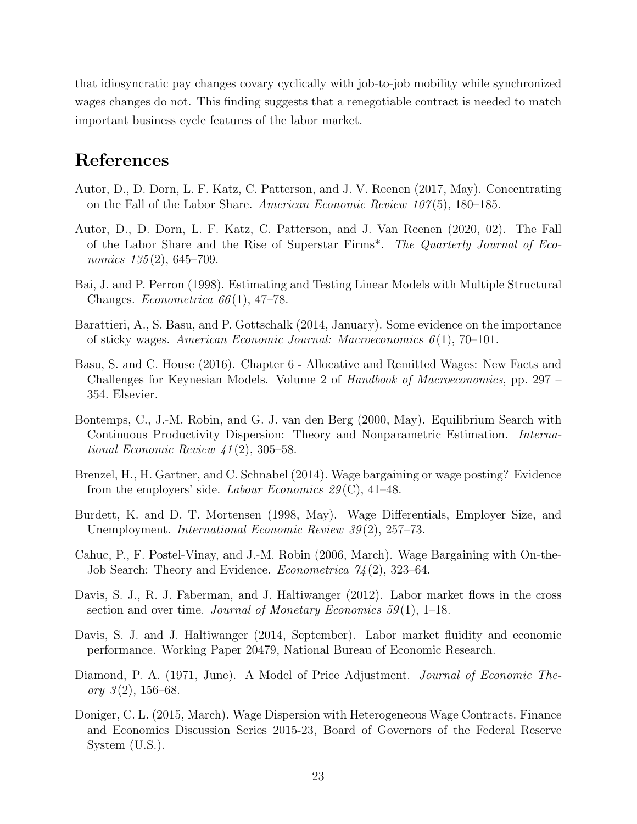that idiosyncratic pay changes covary cyclically with job-to-job mobility while synchronized wages changes do not. This finding suggests that a renegotiable contract is needed to match important business cycle features of the labor market.

## References

- <span id="page-24-6"></span>Autor, D., D. Dorn, L. F. Katz, C. Patterson, and J. V. Reenen (2017, May). Concentrating on the Fall of the Labor Share. American Economic Review  $107(5)$ , 180–185.
- <span id="page-24-7"></span>Autor, D., D. Dorn, L. F. Katz, C. Patterson, and J. Van Reenen (2020, 02). The Fall of the Labor Share and the Rise of Superstar Firms\*. The Quarterly Journal of Economics  $135(2)$ , 645-709.
- <span id="page-24-2"></span>Bai, J. and P. Perron (1998). Estimating and Testing Linear Models with Multiple Structural Changes. *Econometrica*  $66(1)$ , 47–78.
- <span id="page-24-0"></span>Barattieri, A., S. Basu, and P. Gottschalk (2014, January). Some evidence on the importance of sticky wages. American Economic Journal: Macroeconomics  $6(1)$ , 70–101.
- <span id="page-24-12"></span>Basu, S. and C. House (2016). Chapter 6 - Allocative and Remitted Wages: New Facts and Challenges for Keynesian Models. Volume 2 of Handbook of Macroeconomics, pp. 297 – 354. Elsevier.
- <span id="page-24-9"></span>Bontemps, C., J.-M. Robin, and G. J. van den Berg (2000, May). Equilibrium Search with Continuous Productivity Dispersion: Theory and Nonparametric Estimation. International Economic Review 41 (2), 305–58.
- <span id="page-24-5"></span>Brenzel, H., H. Gartner, and C. Schnabel (2014). Wage bargaining or wage posting? Evidence from the employers' side. Labour Economics  $29(\text{C})$ , 41–48.
- <span id="page-24-8"></span>Burdett, K. and D. T. Mortensen (1998, May). Wage Differentials, Employer Size, and Unemployment. *International Economic Review 39*(2), 257–73.
- <span id="page-24-11"></span>Cahuc, P., F. Postel-Vinay, and J.-M. Robin (2006, March). Wage Bargaining with On-the-Job Search: Theory and Evidence. Econometrica 74 (2), 323–64.
- <span id="page-24-3"></span>Davis, S. J., R. J. Faberman, and J. Haltiwanger (2012). Labor market flows in the cross section and over time. Journal of Monetary Economics  $59(1)$ , 1–18.
- <span id="page-24-4"></span>Davis, S. J. and J. Haltiwanger (2014, September). Labor market fluidity and economic performance. Working Paper 20479, National Bureau of Economic Research.
- <span id="page-24-10"></span>Diamond, P. A. (1971, June). A Model of Price Adjustment. Journal of Economic Theory  $3(2)$ , 156–68.
- <span id="page-24-1"></span>Doniger, C. L. (2015, March). Wage Dispersion with Heterogeneous Wage Contracts. Finance and Economics Discussion Series 2015-23, Board of Governors of the Federal Reserve System (U.S.).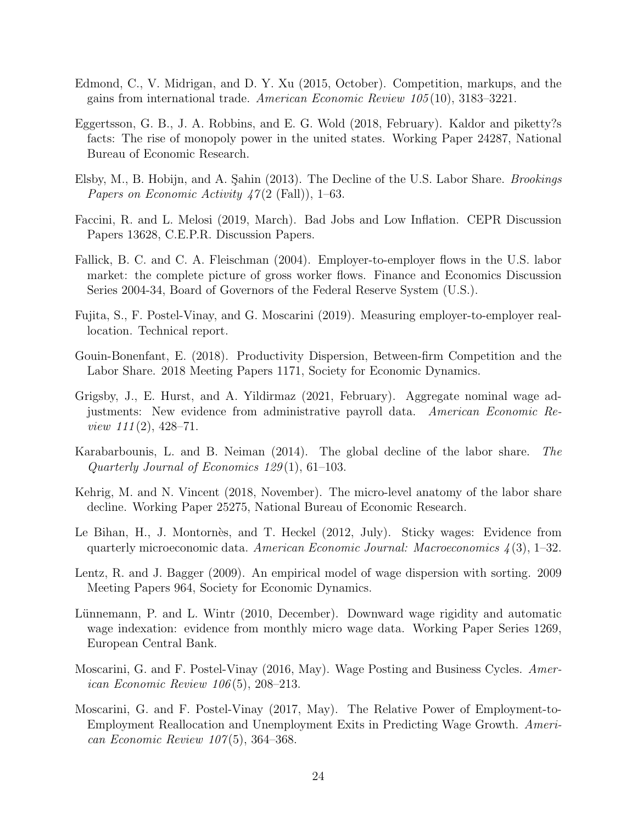- <span id="page-25-10"></span>Edmond, C., V. Midrigan, and D. Y. Xu (2015, October). Competition, markups, and the gains from international trade. American Economic Review 105 (10), 3183–3221.
- <span id="page-25-11"></span>Eggertsson, G. B., J. A. Robbins, and E. G. Wold (2018, February). Kaldor and piketty?s facts: The rise of monopoly power in the united states. Working Paper 24287, National Bureau of Economic Research.
- <span id="page-25-7"></span>Elsby, M., B. Hobijn, and A. Sahin (2013). The Decline of the U.S. Labor Share. *Brookings Papers on Economic Activity 47(2 (Fall)), 1–63.*
- <span id="page-25-3"></span>Faccini, R. and L. Melosi (2019, March). Bad Jobs and Low Inflation. CEPR Discussion Papers 13628, C.E.P.R. Discussion Papers.
- <span id="page-25-4"></span>Fallick, B. C. and C. A. Fleischman (2004). Employer-to-employer flows in the U.S. labor market: the complete picture of gross worker flows. Finance and Economics Discussion Series 2004-34, Board of Governors of the Federal Reserve System (U.S.).
- <span id="page-25-5"></span>Fujita, S., F. Postel-Vinay, and G. Moscarini (2019). Measuring employer-to-employer reallocation. Technical report.
- <span id="page-25-9"></span>Gouin-Bonenfant, E. (2018). Productivity Dispersion, Between-firm Competition and the Labor Share. 2018 Meeting Papers 1171, Society for Economic Dynamics.
- <span id="page-25-2"></span>Grigsby, J., E. Hurst, and A. Yildirmaz (2021, February). Aggregate nominal wage adjustments: New evidence from administrative payroll data. American Economic Re*view*  $111(2)$ ,  $428-71$ .
- <span id="page-25-8"></span>Karabarbounis, L. and B. Neiman (2014). The global decline of the labor share. The Quarterly Journal of Economics 129 (1), 61–103.
- <span id="page-25-12"></span>Kehrig, M. and N. Vincent (2018, November). The micro-level anatomy of the labor share decline. Working Paper 25275, National Bureau of Economic Research.
- <span id="page-25-1"></span>Le Bihan, H., J. Montornès, and T. Heckel (2012, July). Sticky wages: Evidence from quarterly microeconomic data. American Economic Journal: Macroeconomics  $\mathcal{A}(3)$ , 1–32.
- <span id="page-25-6"></span>Lentz, R. and J. Bagger (2009). An empirical model of wage dispersion with sorting. 2009 Meeting Papers 964, Society for Economic Dynamics.
- <span id="page-25-0"></span>Lünnemann, P. and L. Wintr (2010, December). Downward wage rigidity and automatic wage indexation: evidence from monthly micro wage data. Working Paper Series 1269, European Central Bank.
- <span id="page-25-13"></span>Moscarini, G. and F. Postel-Vinay (2016, May). Wage Posting and Business Cycles. American Economic Review 106 (5), 208–213.
- <span id="page-25-14"></span>Moscarini, G. and F. Postel-Vinay (2017, May). The Relative Power of Employment-to-Employment Reallocation and Unemployment Exits in Predicting Wage Growth. American Economic Review  $107(5)$ , 364–368.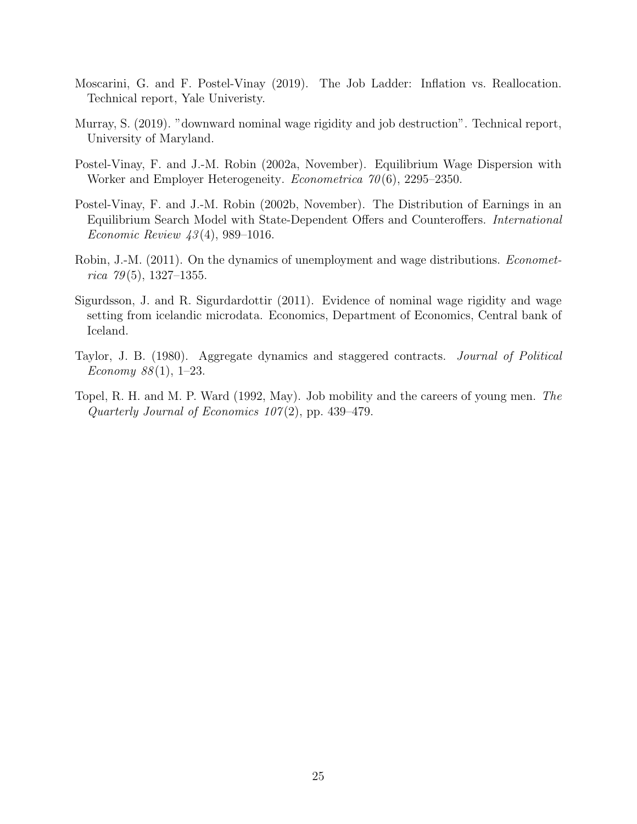- <span id="page-26-4"></span>Moscarini, G. and F. Postel-Vinay (2019). The Job Ladder: Inflation vs. Reallocation. Technical report, Yale Univeristy.
- <span id="page-26-2"></span>Murray, S. (2019). "downward nominal wage rigidity and job destruction". Technical report, University of Maryland.
- <span id="page-26-7"></span>Postel-Vinay, F. and J.-M. Robin (2002a, November). Equilibrium Wage Dispersion with Worker and Employer Heterogeneity. *Econometrica* 70(6), 2295–2350.
- <span id="page-26-6"></span>Postel-Vinay, F. and J.-M. Robin (2002b, November). The Distribution of Earnings in an Equilibrium Search Model with State-Dependent Offers and Counteroffers. International *Economic Review 43*(4), 989–1016.
- <span id="page-26-3"></span>Robin, J.-M. (2011). On the dynamics of unemployment and wage distributions. *Economet*rica  $79(5)$ , 1327–1355.
- <span id="page-26-1"></span>Sigurdsson, J. and R. Sigurdardottir (2011). Evidence of nominal wage rigidity and wage setting from icelandic microdata. Economics, Department of Economics, Central bank of Iceland.
- <span id="page-26-0"></span>Taylor, J. B. (1980). Aggregate dynamics and staggered contracts. Journal of Political Economy  $88(1)$ , 1-23.
- <span id="page-26-5"></span>Topel, R. H. and M. P. Ward (1992, May). Job mobility and the careers of young men. The Quarterly Journal of Economics  $107(2)$ , pp. 439-479.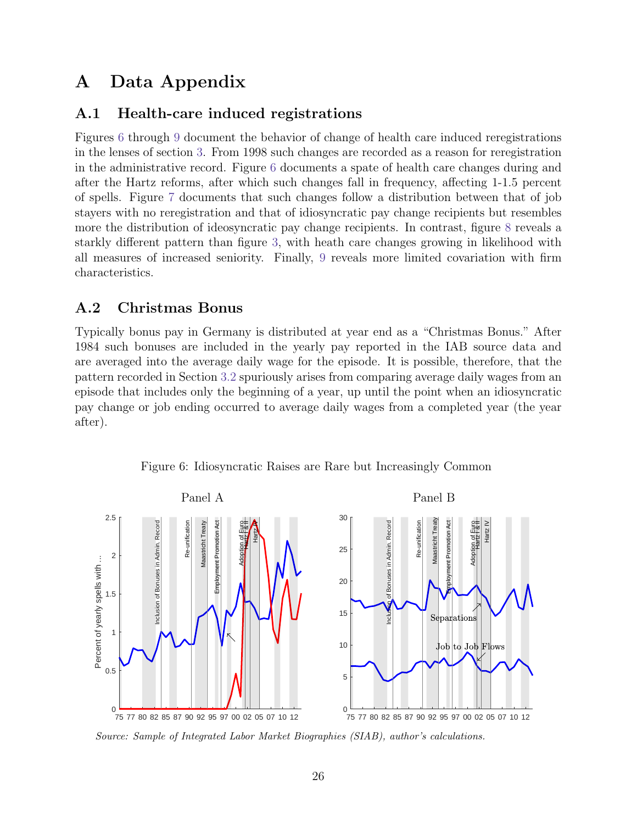# <span id="page-27-0"></span>A Data Appendix

### A.1 Health-care induced registrations

Figures [6](#page-27-1) through [9](#page-30-0) document the behavior of change of health care induced reregistrations in the lenses of section [3.](#page-6-2) From 1998 such changes are recorded as a reason for reregistration in the administrative record. Figure [6](#page-27-1) documents a spate of health care changes during and after the Hartz reforms, after which such changes fall in frequency, affecting 1-1.5 percent of spells. Figure [7](#page-28-0) documents that such changes follow a distribution between that of job stayers with no reregistration and that of idiosyncratic pay change recipients but resembles more the distribution of ideosyncratic pay change recipients. In contrast, figure [8](#page-29-0) reveals a starkly different pattern than figure [3,](#page-9-0) with heath care changes growing in likelihood with all measures of increased seniority. Finally, [9](#page-30-0) reveals more limited covariation with firm characteristics.

## A.2 Christmas Bonus

Typically bonus pay in Germany is distributed at year end as a "Christmas Bonus." After 1984 such bonuses are included in the yearly pay reported in the IAB source data and are averaged into the average daily wage for the episode. It is possible, therefore, that the pattern recorded in Section [3.2](#page-7-2) spuriously arises from comparing average daily wages from an episode that includes only the beginning of a year, up until the point when an idiosyncratic pay change or job ending occurred to average daily wages from a completed year (the year after).



<span id="page-27-1"></span>Figure 6: Idiosyncratic Raises are Rare but Increasingly Common

Source: Sample of Integrated Labor Market Biographies (SIAB), author's calculations.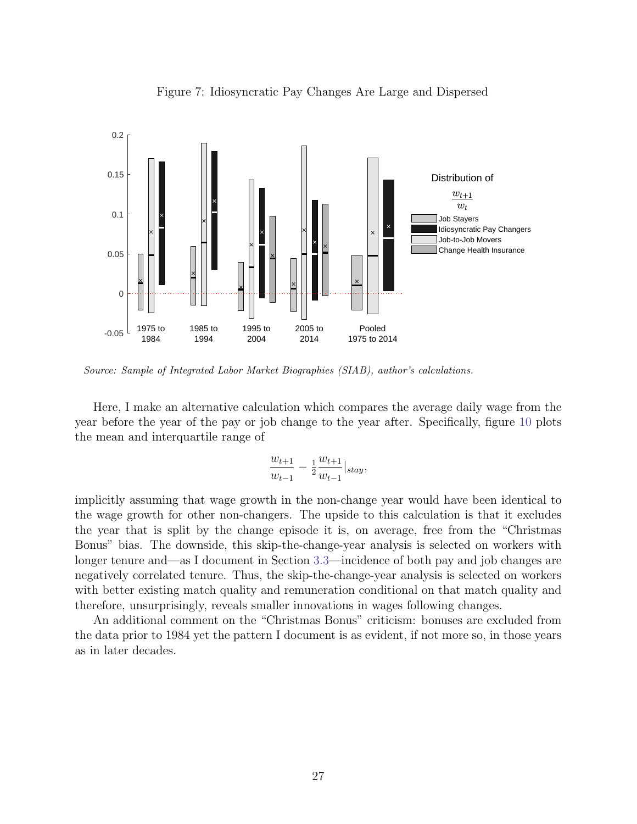

<span id="page-28-0"></span>Figure 7: Idiosyncratic Pay Changes Are Large and Dispersed

Source: Sample of Integrated Labor Market Biographies (SIAB), author's calculations.

Here, I make an alternative calculation which compares the average daily wage from the year before the year of the pay or job change to the year after. Specifically, figure [10](#page-31-0) plots the mean and interquartile range of

$$
\frac{w_{t+1}}{w_{t-1}} - \frac{1}{2} \frac{w_{t+1}}{w_{t-1}}|_{stay},
$$

implicitly assuming that wage growth in the non-change year would have been identical to the wage growth for other non-changers. The upside to this calculation is that it excludes the year that is split by the change episode it is, on average, free from the "Christmas Bonus" bias. The downside, this skip-the-change-year analysis is selected on workers with longer tenure and—as I document in Section [3.3—](#page-8-4)incidence of both pay and job changes are negatively correlated tenure. Thus, the skip-the-change-year analysis is selected on workers with better existing match quality and remuneration conditional on that match quality and therefore, unsurprisingly, reveals smaller innovations in wages following changes.

An additional comment on the "Christmas Bonus" criticism: bonuses are excluded from the data prior to 1984 yet the pattern I document is as evident, if not more so, in those years as in later decades.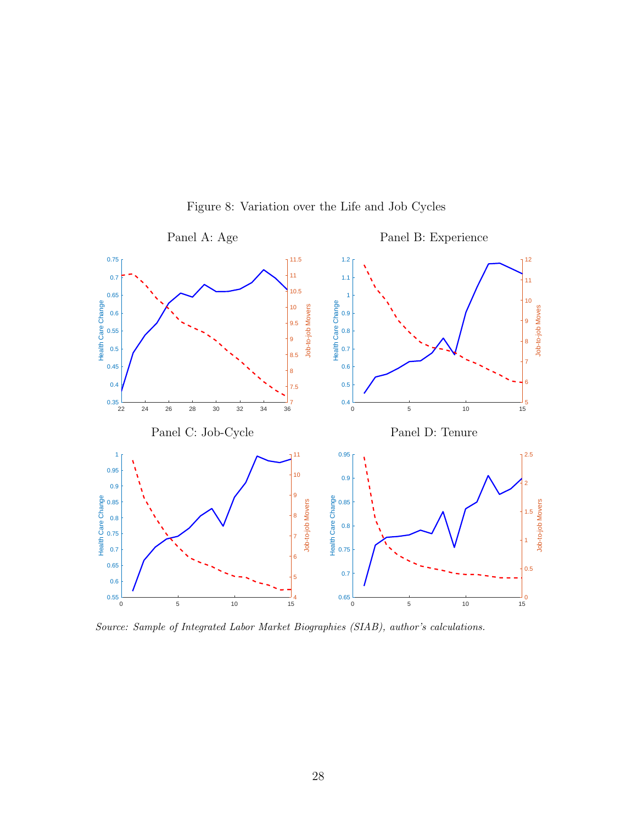

<span id="page-29-0"></span>Figure 8: Variation over the Life and Job Cycles

Source: Sample of Integrated Labor Market Biographies (SIAB), author's calculations.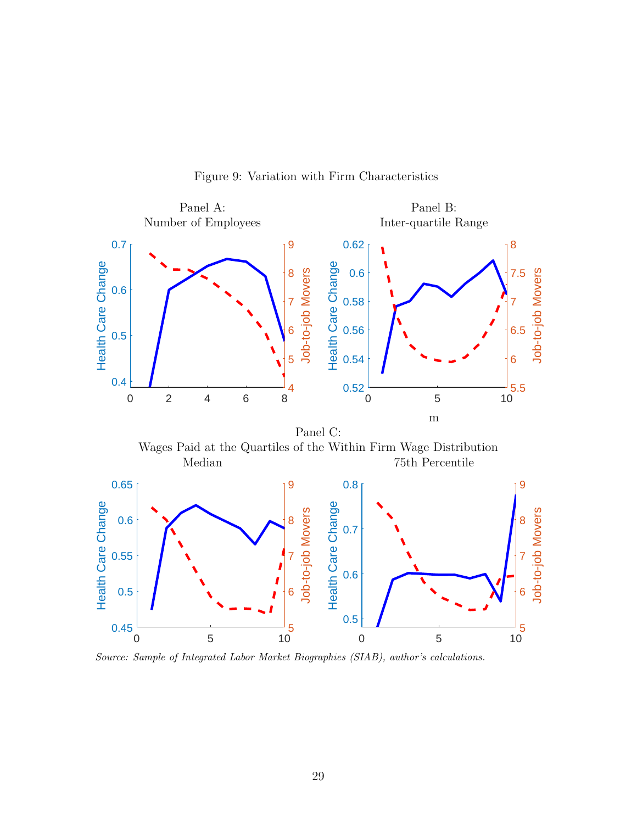

<span id="page-30-0"></span>Figure 9: Variation with Firm Characteristics

Source: Sample of Integrated Labor Market Biographies (SIAB), author's calculations.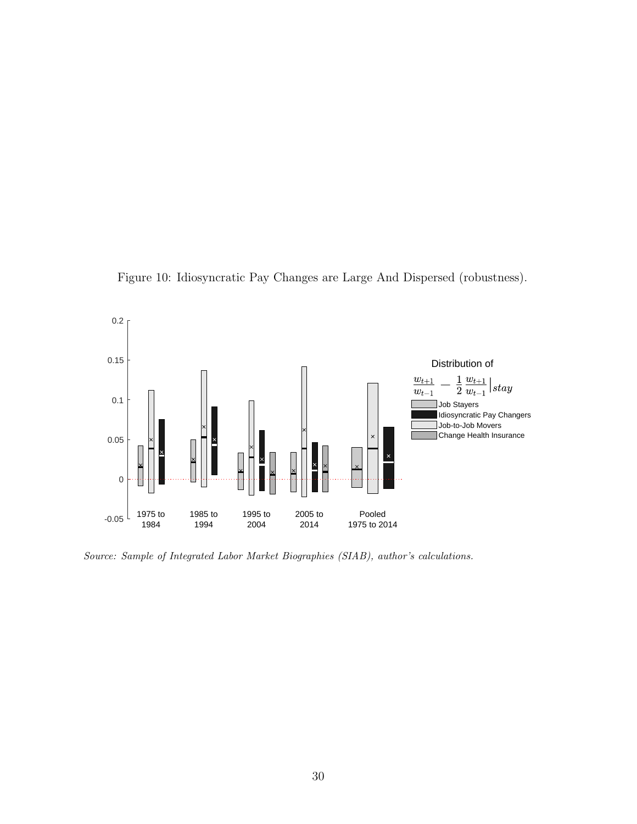<span id="page-31-0"></span>



Source: Sample of Integrated Labor Market Biographies (SIAB), author's calculations.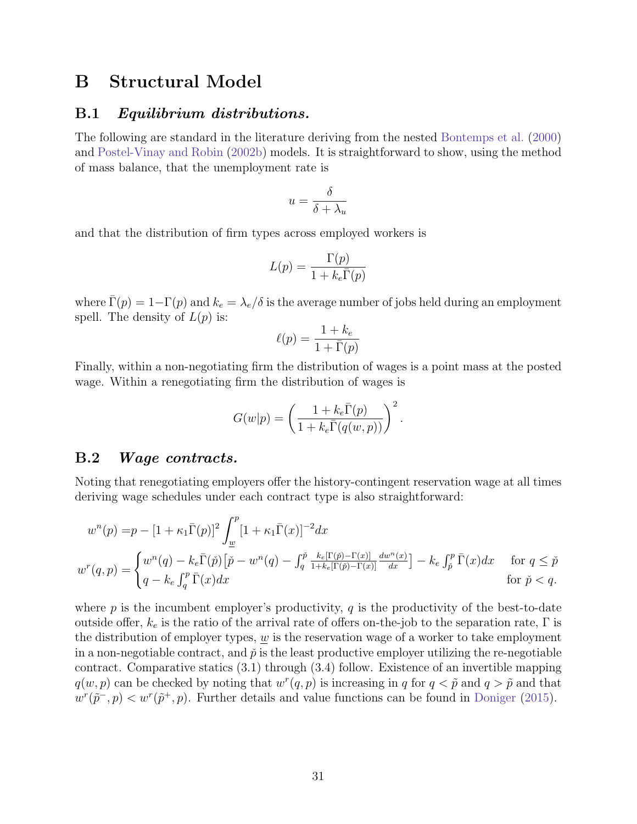## <span id="page-32-0"></span>B Structural Model

#### B.1 Equilibrium distributions.

The following are standard in the literature deriving from the nested [Bontemps et al.](#page-24-9) [\(2000\)](#page-24-9) and [Postel-Vinay and Robin](#page-26-6) [\(2002b\)](#page-26-6) models. It is straightforward to show, using the method of mass balance, that the unemployment rate is

$$
u = \frac{\delta}{\delta + \lambda_u}
$$

and that the distribution of firm types across employed workers is

$$
L(p) = \frac{\Gamma(p)}{1 + k_e \bar{\Gamma}(p)}
$$

where  $\Gamma(p) = 1-\Gamma(p)$  and  $k_e = \lambda_e/\delta$  is the average number of jobs held during an employment spell. The density of  $L(p)$  is:

$$
\ell(p) = \frac{1 + k_e}{1 + \bar{\Gamma}(p)}
$$

Finally, within a non-negotiating firm the distribution of wages is a point mass at the posted wage. Within a renegotiating firm the distribution of wages is

$$
G(w|p) = \left(\frac{1 + k_e \overline{\Gamma}(p)}{1 + k_e \overline{\Gamma}(q(w, p))}\right)^2.
$$

#### B.2 Wage contracts.

Noting that renegotiating employers offer the history-contingent reservation wage at all times deriving wage schedules under each contract type is also straightforward:

$$
w^{n}(p) = p - [1 + \kappa_1 \bar{\Gamma}(p)]^2 \int_{\underline{w}}^{p} [1 + \kappa_1 \bar{\Gamma}(x)]^{-2} dx
$$
  

$$
w^{r}(q, p) = \begin{cases} w^{n}(q) - k_e \bar{\Gamma}(\tilde{p}) \left[ \tilde{p} - w^{n}(q) - \int_{q}^{\tilde{p}} \frac{k_e[\Gamma(\tilde{p}) - \Gamma(x)]}{1 + k_e[\Gamma(\tilde{p}) - \Gamma(x)]} \frac{dw^{n}(x)}{dx} \right] - k_e \int_{\tilde{p}}^{p} \bar{\Gamma}(x) dx & \text{for } q \le \tilde{p} \\ q - k_e \int_{q}^{p} \bar{\Gamma}(x) dx & \text{for } \tilde{p} < q. \end{cases}
$$

where  $p$  is the incumbent employer's productivity,  $q$  is the productivity of the best-to-date outside offer,  $k_e$  is the ratio of the arrival rate of offers on-the-job to the separation rate,  $\Gamma$  is the distribution of employer types,  $\omega$  is the reservation wage of a worker to take employment in a non-negotiable contract, and  $\check{p}$  is the least productive employer utilizing the re-negotiable contract. Comparative statics (3.1) through (3.4) follow. Existence of an invertible mapping  $q(w, p)$  can be checked by noting that  $w^r(q, p)$  is increasing in q for  $q < \tilde{p}$  and  $q > \tilde{p}$  and that  $w^{r}(\tilde{p}^{-}, p) < w^{r}(\tilde{p}^{+}, p)$ . Further details and value functions can be found in [Doniger](#page-24-1) [\(2015\)](#page-24-1).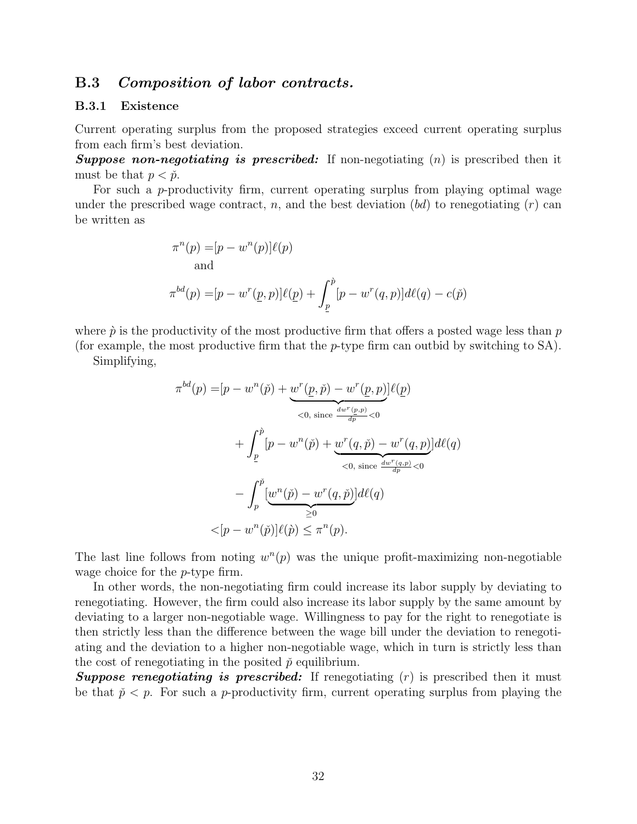#### B.3 Composition of labor contracts.

#### B.3.1 Existence

Current operating surplus from the proposed strategies exceed current operating surplus from each firm's best deviation.

**Suppose non-negotiating is prescribed:** If non-negotiating  $(n)$  is prescribed then it must be that  $p < \check{p}$ .

For such a p-productivity firm, current operating surplus from playing optimal wage under the prescribed wage contract, n, and the best deviation  $(bd)$  to renegotiating  $(r)$  can be written as

$$
\pi^n(p) = [p - w^n(p)]\ell(p)
$$
  
and  

$$
\pi^{bd}(p) = [p - w^r(\underline{p}, p)]\ell(\underline{p}) + \int_{\underline{p}}^{\hat{p}} [p - w^r(q, p)]d\ell(q) - c(\check{p})
$$

where  $\dot{p}$  is the productivity of the most productive firm that offers a posted wage less than p

(for example, the most productive firm that the p-type firm can outbid by switching to SA).

Simplifying,

$$
\pi^{bd}(p) = [p - w^n(\check{p}) + \underbrace{w^r(\underline{p}, \check{p}) - w^r(\underline{p}, p)}_{<0, \text{ since } \frac{dw^r(\underline{p}, p)}{dp} < 0}
$$
  
+ 
$$
\int_{\underline{p}}^{\hat{p}} [p - w^n(\check{p}) + \underbrace{w^r(q, \check{p}) - w^r(q, p)}_{<0, \text{ since } \frac{dw^r(q, p)}{dp} < 0}
$$
  
- 
$$
\int_{p}^{\check{p}} [\underbrace{w^n(\check{p}) - w^r(q, \check{p})}] d\ell(q)
$$
  

$$
< [p - w^n(\check{p})] \ell(\hat{p}) \leq \pi^n(p).
$$

The last line follows from noting  $w^n(p)$  was the unique profit-maximizing non-negotiable wage choice for the *p*-type firm.

In other words, the non-negotiating firm could increase its labor supply by deviating to renegotiating. However, the firm could also increase its labor supply by the same amount by deviating to a larger non-negotiable wage. Willingness to pay for the right to renegotiate is then strictly less than the difference between the wage bill under the deviation to renegotiating and the deviation to a higher non-negotiable wage, which in turn is strictly less than the cost of renegotiating in the posited  $\check{p}$  equilibrium.

**Suppose renegotiating is prescribed:** If renegotiating  $(r)$  is prescribed then it must be that  $\tilde{p} < p$ . For such a p-productivity firm, current operating surplus from playing the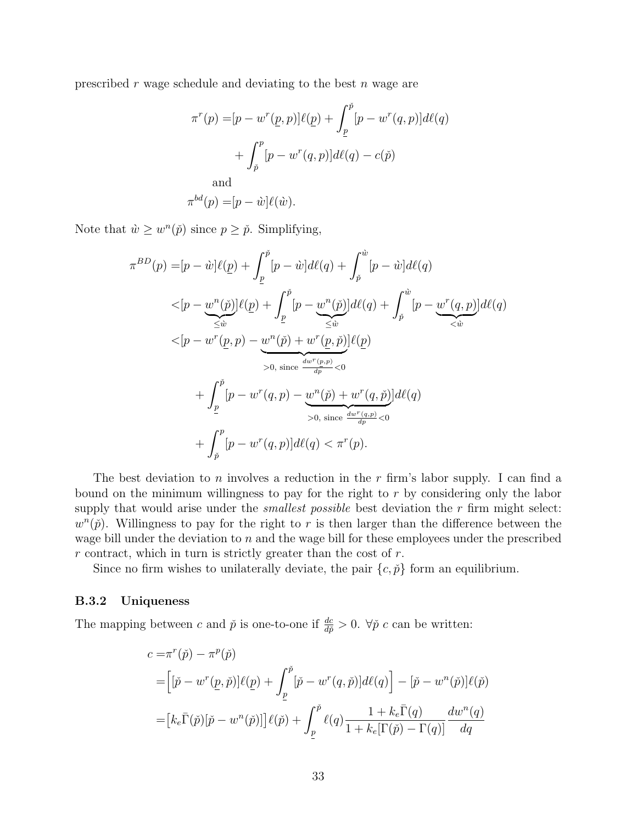prescribed r wage schedule and deviating to the best n wage are

$$
\pi^r(p) = [p - w^r(\underline{p}, p)]\ell(\underline{p}) + \int_{\underline{p}}^{\underline{p}} [p - w^r(q, p)]d\ell(q)
$$

$$
+ \int_{\underline{p}}^p [p - w^r(q, p)]d\ell(q) - c(\underline{p})
$$
and  

$$
\pi^{bd}(p) = [p - \dot{w}]\ell(\dot{w}).
$$

Note that  $\hat{w} \geq w^n(\check{p})$  since  $p \geq \check{p}$ . Simplifying,

$$
\pi^{BD}(p) = [p - \hat{w}]\ell(p) + \int_{\underline{p}}^{\check{p}} [p - \hat{w}]d\ell(q) + \int_{\check{p}}^{\hat{w}} [p - \hat{w}]d\ell(q)
$$
  

$$
< [p - \underbrace{w^n(\check{p})}]\ell(p) + \int_{\underline{p}}^{\check{p}} [p - \underbrace{w^n(\check{p})}]\ell(q) + \int_{\check{p}}^{\hat{w}} [p - \underbrace{w^r(q,p)}_{<\hat{w}}]d\ell(q)
$$
  

$$
< [p - w^r(\underline{p}, p) - \underbrace{w^n(\check{p})} + w^r(\underline{p}, \check{p})]\ell(p)
$$
  

$$
> 0, \text{ since } \frac{dw^r(p, p)}{dp} < 0
$$
  

$$
+ \int_{\underline{p}}^{\check{p}} [p - w^r(q, p) - \underbrace{w^n(\check{p})} + w^r(q, \check{p})]d\ell(q)
$$
  

$$
> 0, \text{ since } \frac{dw^r(q, p)}{dp} < 0
$$
  

$$
+ \int_{\check{p}}^p [p - w^r(q, p)]d\ell(q) < \pi^r(p).
$$

The best deviation to n involves a reduction in the r firm's labor supply. I can find a bound on the minimum willingness to pay for the right to r by considering only the labor supply that would arise under the *smallest possible* best deviation the  $r$  firm might select:  $w^{n}(\check{p})$ . Willingness to pay for the right to r is then larger than the difference between the wage bill under the deviation to n and the wage bill for these employees under the prescribed  $r$  contract, which in turn is strictly greater than the cost of  $r$ .

Since no firm wishes to unilaterally deviate, the pair  $\{c, \check{p}\}\$ form an equilibrium.

#### B.3.2 Uniqueness

The mapping between c and  $\check{p}$  is one-to-one if  $\frac{dc}{d\check{p}} > 0$ .  $\forall \check{p}$  c can be written:

$$
c = \pi^r(\check{p}) - \pi^p(\check{p})
$$
  
= 
$$
\left[ [\check{p} - w^r(\underline{p}, \check{p})] \ell(\underline{p}) + \int_{\underline{p}}^{\check{p}} [\check{p} - w^r(q, \check{p})] d\ell(q) \right] - [\check{p} - w^n(\check{p})] \ell(\check{p})
$$
  
= 
$$
\left[ k_e \bar{\Gamma}(\check{p})[\check{p} - w^n(\check{p})] \right] \ell(\check{p}) + \int_{\underline{p}}^{\check{p}} \ell(q) \frac{1 + k_e \bar{\Gamma}(q)}{1 + k_e [\Gamma(\check{p}) - \Gamma(q)]} \frac{dw^n(q)}{dq}
$$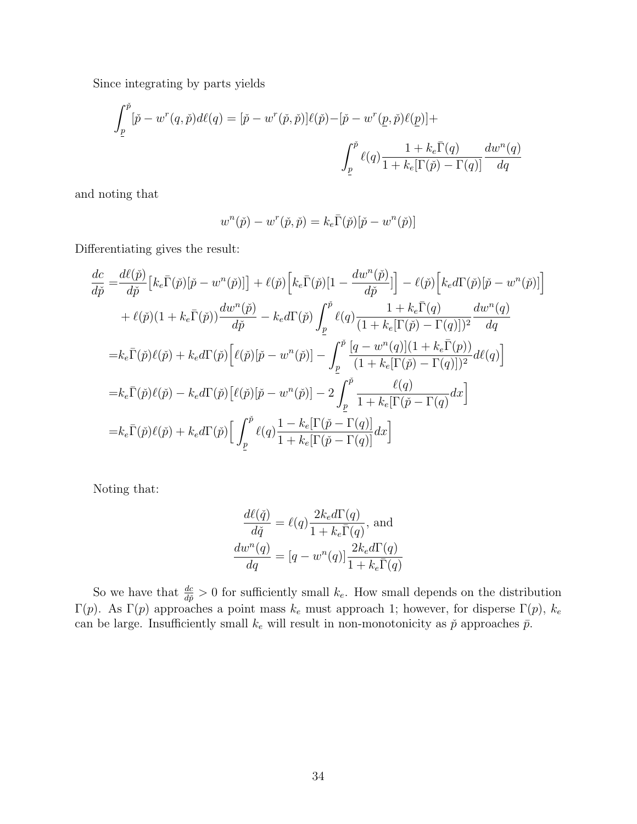Since integrating by parts yields

$$
\int_{\underline{p}}^{\check{p}} [\check{p} - w^r(q, \check{p}) d\ell(q)] = [\check{p} - w^r(\check{p}, \check{p})] \ell(\check{p}) - [\check{p} - w^r(\underline{p}, \check{p}) \ell(\underline{p})] +
$$

$$
\int_{\underline{p}}^{\check{p}} \ell(q) \frac{1 + k_e \bar{\Gamma}(q)}{1 + k_e [\Gamma(\check{p}) - \Gamma(q)]} \frac{dw^n(q)}{dq}
$$

and noting that

$$
w^{n}(\check{p}) - w^{r}(\check{p}, \check{p}) = k_{e}\bar{\Gamma}(\check{p})[\check{p} - w^{n}(\check{p})]
$$

Differentiating gives the result:

$$
\frac{dc}{d\tilde{p}} = \frac{d\ell(\tilde{p})}{d\tilde{p}} \left[ k_e \bar{\Gamma}(\tilde{p}) [\tilde{p} - w^n(\tilde{p})] \right] + \ell(\tilde{p}) \left[ k_e \bar{\Gamma}(\tilde{p}) [1 - \frac{dw^n(\tilde{p})}{d\tilde{p}}] \right] - \ell(\tilde{p}) \left[ k_e d\Gamma(\tilde{p}) [\tilde{p} - w^n(\tilde{p})] \right]
$$
  
+ 
$$
\ell(\tilde{p}) (1 + k_e \bar{\Gamma}(\tilde{p})) \frac{dw^n(\tilde{p})}{d\tilde{p}} - k_e d\Gamma(\tilde{p}) \int_{\underline{p}}^{\tilde{p}} \ell(q) \frac{1 + k_e \bar{\Gamma}(q)}{(1 + k_e [\Gamma(\tilde{p}) - \Gamma(q)])^2} \frac{dw^n(q)}{dq}
$$
  
= 
$$
k_e \bar{\Gamma}(\tilde{p}) \ell(\tilde{p}) + k_e d\Gamma(\tilde{p}) \left[ \ell(\tilde{p}) [\tilde{p} - w^n(\tilde{p})] - \int_{\underline{p}}^{\tilde{p}} \frac{[q - w^n(q)](1 + k_e \bar{\Gamma}(p))}{(1 + k_e [\Gamma(\tilde{p}) - \Gamma(q)])^2} d\ell(q) \right]
$$
  
= 
$$
k_e \bar{\Gamma}(\tilde{p}) \ell(\tilde{p}) - k_e d\Gamma(\tilde{p}) \left[ \ell(\tilde{p}) [\tilde{p} - w^n(\tilde{p})] - 2 \int_{\underline{p}}^{\tilde{p}} \frac{\ell(q)}{1 + k_e [\Gamma(\tilde{p} - \Gamma(q)]} dx \right]
$$
  
= 
$$
k_e \bar{\Gamma}(\tilde{p}) \ell(\tilde{p}) + k_e d\Gamma(\tilde{p}) \left[ \int_{\underline{p}}^{\tilde{p}} \ell(q) \frac{1 - k_e [\Gamma(\tilde{p} - \Gamma(q)]}{1 + k_e [\Gamma(\tilde{p} - \Gamma(q)]} dx \right]
$$

Noting that:

$$
\frac{d\ell(\check{q})}{d\check{q}} = \ell(q) \frac{2k_e d\Gamma(q)}{1 + k_e \bar{\Gamma}(q)}, \text{ and}
$$

$$
\frac{dw^n(q)}{dq} = [q - w^n(q)] \frac{2k_e d\Gamma(q)}{1 + k_e \bar{\Gamma}(q)}
$$

So we have that  $\frac{dc}{d\tilde{p}} > 0$  for sufficiently small k<sub>e</sub>. How small depends on the distribution Γ(p). As Γ(p) approaches a point mass  $k_e$  must approach 1; however, for disperse Γ(p),  $k_e$ can be large. Insufficiently small  $k_e$  will result in non-monotonicity as  $\check{p}$  approaches  $\bar{p}$ .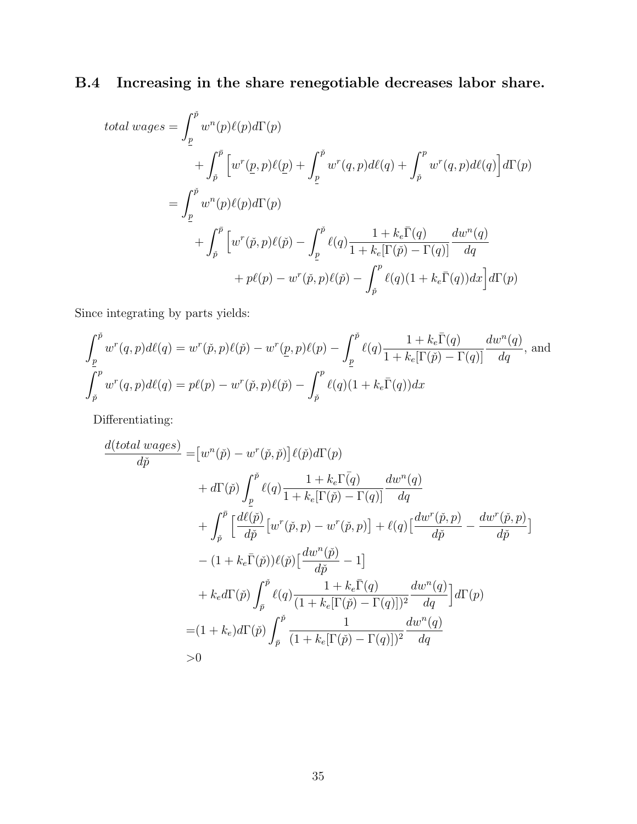# B.4 Increasing in the share renegotiable decreases labor share.

total wages = 
$$
\int_{\underline{p}}^{\check{p}} w^n(p) \ell(p) d\Gamma(p)
$$
  
+ 
$$
\int_{\check{p}}^{\tilde{p}} \left[ w^r(\underline{p}, p) \ell(\underline{p}) + \int_{\underline{p}}^{\check{p}} w^r(q, p) d\ell(q) + \int_{\check{p}}^p w^r(q, p) d\ell(q) \right] d\Gamma(p)
$$
  
= 
$$
\int_{\underline{p}}^{\check{p}} w^n(p) \ell(p) d\Gamma(p)
$$
  
+ 
$$
\int_{\check{p}}^{\tilde{p}} \left[ w^r(\check{p}, p) \ell(\check{p}) - \int_{\underline{p}}^{\check{p}} \ell(q) \frac{1 + k_e \bar{\Gamma}(q)}{1 + k_e [\Gamma(\check{p}) - \Gamma(q)]} \frac{dw^n(q)}{dq}
$$
  
+ 
$$
p\ell(p) - w^r(\check{p}, p)\ell(\check{p}) - \int_{\check{p}}^p \ell(q) (1 + k_e \bar{\Gamma}(q)) dx \right] d\Gamma(p)
$$

Since integrating by parts yields:

$$
\int_{\underline{p}}^{\check{p}} w^r(q, p) d\ell(q) = w^r(\check{p}, p)\ell(\check{p}) - w^r(\underline{p}, p)\ell(p) - \int_{\underline{p}}^{\check{p}} \ell(q) \frac{1 + k_e \bar{\Gamma}(q)}{1 + k_e [\Gamma(\check{p}) - \Gamma(q)]} \frac{dw^n(q)}{dq},
$$
and  

$$
\int_{\check{p}}^p w^r(q, p) d\ell(q) = p\ell(p) - w^r(\check{p}, p)\ell(\check{p}) - \int_{\check{p}}^p \ell(q) (1 + k_e \bar{\Gamma}(q)) dx
$$

Differentiating:

$$
\frac{d(total\ wages)}{d\check{p}} = [w^n(\check{p}) - w^r(\check{p}, \check{p})] \ell(\check{p}) d\Gamma(p) \n+ d\Gamma(\check{p}) \int_{\underline{p}}^{\check{p}} \ell(q) \frac{1 + k_e \Gamma(q)}{1 + k_e [\Gamma(\check{p}) - \Gamma(q)]} \frac{dw^n(q)}{dq} \n+ \int_{\check{p}}^{\tilde{p}} \left[ \frac{d\ell(\check{p})}{d\check{p}} \left[ w^r(\check{p}, p) - w^r(\check{p}, p) \right] + \ell(q) \left[ \frac{dw^r(\check{p}, p)}{d\check{p}} - \frac{dw^r(\check{p}, p)}{d\check{p}} \right] \n- (1 + k_e \bar{\Gamma}(\check{p})) \ell(\check{p}) \left[ \frac{dw^n(\check{p})}{d\check{p}} - 1 \right] \n+ k_e d\Gamma(\check{p}) \int_{\tilde{p}}^{\check{p}} \ell(q) \frac{1 + k_e \bar{\Gamma}(q)}{(1 + k_e [\Gamma(\check{p}) - \Gamma(q)])^2} \frac{dw^n(q)}{dq} d\Gamma(p) \n= (1 + k_e) d\Gamma(\check{p}) \int_{\tilde{p}}^{\tilde{p}} \frac{1}{(1 + k_e [\Gamma(\check{p}) - \Gamma(q)])^2} \frac{dw^n(q)}{dq} \n>0
$$